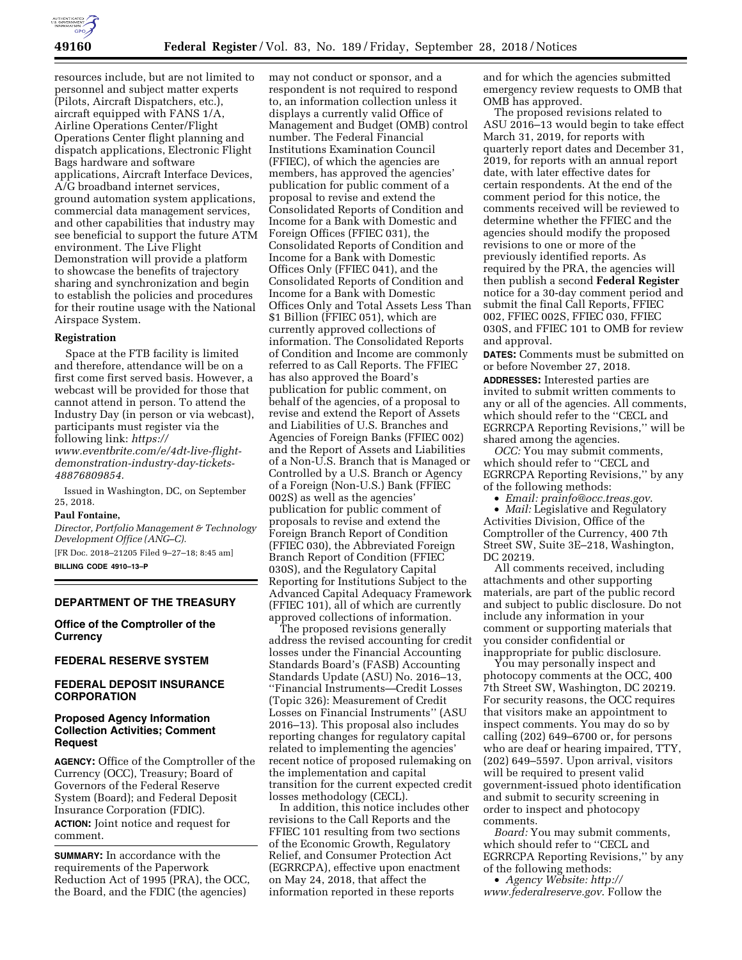

resources include, but are not limited to personnel and subject matter experts (Pilots, Aircraft Dispatchers, etc.), aircraft equipped with FANS 1/A, Airline Operations Center/Flight Operations Center flight planning and dispatch applications, Electronic Flight Bags hardware and software applications, Aircraft Interface Devices, A/G broadband internet services, ground automation system applications, commercial data management services, and other capabilities that industry may see beneficial to support the future ATM environment. The Live Flight Demonstration will provide a platform to showcase the benefits of trajectory sharing and synchronization and begin to establish the policies and procedures for their routine usage with the National Airspace System.

#### **Registration**

Space at the FTB facility is limited and therefore, attendance will be on a first come first served basis. However, a webcast will be provided for those that cannot attend in person. To attend the Industry Day (in person or via webcast), participants must register via the following link: *[https://](https://www.eventbrite.com/e/4dt-live-flight-demonstration-industry-day-tickets-48876809854) [www.eventbrite.com/e/4dt-live-flight](https://www.eventbrite.com/e/4dt-live-flight-demonstration-industry-day-tickets-48876809854)[demonstration-industry-day-tickets-](https://www.eventbrite.com/e/4dt-live-flight-demonstration-industry-day-tickets-48876809854)[48876809854.](https://www.eventbrite.com/e/4dt-live-flight-demonstration-industry-day-tickets-48876809854)* 

Issued in Washington, DC, on September 25, 2018.

#### **Paul Fontaine,**

*Director, Portfolio Management & Technology Development Office (ANG–C).* 

[FR Doc. 2018–21205 Filed 9–27–18; 8:45 am] **BILLING CODE 4910–13–P** 

## **DEPARTMENT OF THE TREASURY**

**Office of the Comptroller of the Currency** 

#### **FEDERAL RESERVE SYSTEM**

## **FEDERAL DEPOSIT INSURANCE CORPORATION**

## **Proposed Agency Information Collection Activities; Comment Request**

**AGENCY:** Office of the Comptroller of the Currency (OCC), Treasury; Board of Governors of the Federal Reserve System (Board); and Federal Deposit Insurance Corporation (FDIC). **ACTION:** Joint notice and request for comment.

**SUMMARY:** In accordance with the requirements of the Paperwork Reduction Act of 1995 (PRA), the OCC, the Board, and the FDIC (the agencies)

may not conduct or sponsor, and a respondent is not required to respond to, an information collection unless it displays a currently valid Office of Management and Budget (OMB) control number. The Federal Financial Institutions Examination Council (FFIEC), of which the agencies are members, has approved the agencies' publication for public comment of a proposal to revise and extend the Consolidated Reports of Condition and Income for a Bank with Domestic and Foreign Offices (FFIEC 031), the Consolidated Reports of Condition and Income for a Bank with Domestic Offices Only (FFIEC 041), and the Consolidated Reports of Condition and Income for a Bank with Domestic Offices Only and Total Assets Less Than \$1 Billion (FFIEC 051), which are currently approved collections of information. The Consolidated Reports of Condition and Income are commonly referred to as Call Reports. The FFIEC has also approved the Board's publication for public comment, on behalf of the agencies, of a proposal to revise and extend the Report of Assets and Liabilities of U.S. Branches and Agencies of Foreign Banks (FFIEC 002) and the Report of Assets and Liabilities of a Non-U.S. Branch that is Managed or Controlled by a U.S. Branch or Agency of a Foreign (Non-U.S.) Bank (FFIEC 002S) as well as the agencies' publication for public comment of proposals to revise and extend the Foreign Branch Report of Condition (FFIEC 030), the Abbreviated Foreign Branch Report of Condition (FFIEC 030S), and the Regulatory Capital Reporting for Institutions Subject to the Advanced Capital Adequacy Framework (FFIEC 101), all of which are currently approved collections of information.

The proposed revisions generally address the revised accounting for credit losses under the Financial Accounting Standards Board's (FASB) Accounting Standards Update (ASU) No. 2016–13, ''Financial Instruments—Credit Losses (Topic 326): Measurement of Credit Losses on Financial Instruments'' (ASU 2016–13). This proposal also includes reporting changes for regulatory capital related to implementing the agencies' recent notice of proposed rulemaking on the implementation and capital transition for the current expected credit losses methodology (CECL).

In addition, this notice includes other revisions to the Call Reports and the FFIEC 101 resulting from two sections of the Economic Growth, Regulatory Relief, and Consumer Protection Act (EGRRCPA), effective upon enactment on May 24, 2018, that affect the information reported in these reports

and for which the agencies submitted emergency review requests to OMB that OMB has approved.

The proposed revisions related to ASU 2016–13 would begin to take effect March 31, 2019, for reports with quarterly report dates and December 31, 2019, for reports with an annual report date, with later effective dates for certain respondents. At the end of the comment period for this notice, the comments received will be reviewed to determine whether the FFIEC and the agencies should modify the proposed revisions to one or more of the previously identified reports. As required by the PRA, the agencies will then publish a second **Federal Register**  notice for a 30-day comment period and submit the final Call Reports, FFIEC 002, FFIEC 002S, FFIEC 030, FFIEC 030S, and FFIEC 101 to OMB for review and approval.

**DATES:** Comments must be submitted on or before November 27, 2018.

**ADDRESSES:** Interested parties are invited to submit written comments to any or all of the agencies. All comments, which should refer to the ''CECL and EGRRCPA Reporting Revisions,'' will be shared among the agencies.

*OCC:* You may submit comments, which should refer to ''CECL and EGRRCPA Reporting Revisions,'' by any of the following methods:

• *Email: [prainfo@occ.treas.gov](mailto:prainfo@occ.treas.gov)*.

• *Mail:* Legislative and Regulatory Activities Division, Office of the Comptroller of the Currency, 400 7th Street SW, Suite 3E–218, Washington, DC 20219.

All comments received, including attachments and other supporting materials, are part of the public record and subject to public disclosure. Do not include any information in your comment or supporting materials that you consider confidential or inappropriate for public disclosure.

You may personally inspect and photocopy comments at the OCC, 400 7th Street SW, Washington, DC 20219. For security reasons, the OCC requires that visitors make an appointment to inspect comments. You may do so by calling (202) 649–6700 or, for persons who are deaf or hearing impaired, TTY, (202) 649–5597. Upon arrival, visitors will be required to present valid government-issued photo identification and submit to security screening in order to inspect and photocopy comments.

*Board:* You may submit comments, which should refer to ''CECL and EGRRCPA Reporting Revisions,'' by any of the following methods:

• *Agency Website: [http://](http://www.federalreserve.gov) [www.federalreserve.gov](http://www.federalreserve.gov)*. Follow the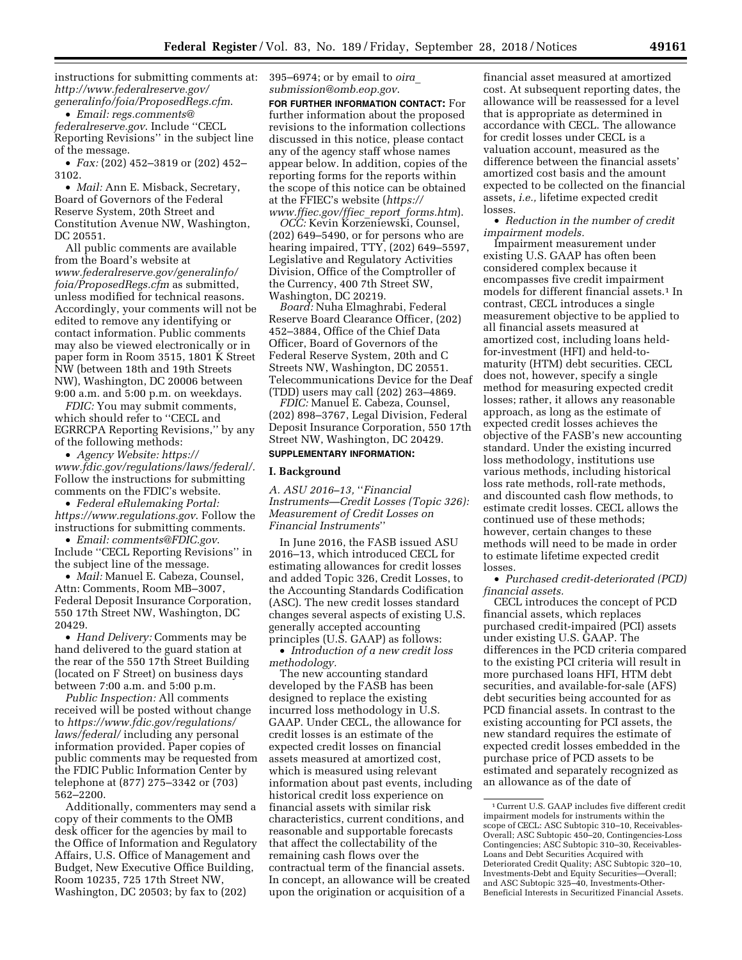instructions for submitting comments at: *[http://www.federalreserve.gov/](http://www.federalreserve.gov/generalinfo/foia/ProposedRegs.cfm)  [generalinfo/foia/ProposedRegs.cfm](http://www.federalreserve.gov/generalinfo/foia/ProposedRegs.cfm)*.

• *Email: [regs.comments@](mailto:regs.comments@federalreserve.gov) [federalreserve.gov](mailto:regs.comments@federalreserve.gov)*. Include ''CECL Reporting Revisions'' in the subject line of the message.

• *Fax:* (202) 452–3819 or (202) 452– 3102.

• *Mail:* Ann E. Misback, Secretary, Board of Governors of the Federal Reserve System, 20th Street and Constitution Avenue NW, Washington, DC 20551.

All public comments are available from the Board's website at *[www.federalreserve.gov/generalinfo/](http://www.federalreserve.gov/generalinfo/foia/ProposedRegs.cfm) [foia/ProposedRegs.cfm](http://www.federalreserve.gov/generalinfo/foia/ProposedRegs.cfm)* as submitted, unless modified for technical reasons. Accordingly, your comments will not be edited to remove any identifying or contact information. Public comments may also be viewed electronically or in paper form in Room 3515, 1801 K Street NW (between 18th and 19th Streets NW), Washington, DC 20006 between 9:00 a.m. and 5:00 p.m. on weekdays.

*FDIC:* You may submit comments, which should refer to ''CECL and EGRRCPA Reporting Revisions,'' by any of the following methods:

• *Agency Website: [https://](https://www.fdic.gov/regulations/laws/federal/) [www.fdic.gov/regulations/laws/federal/.](https://www.fdic.gov/regulations/laws/federal/)*  Follow the instructions for submitting comments on the FDIC's website.

• *Federal eRulemaking Portal: <https://www.regulations.gov>*. Follow the instructions for submitting comments.

• *Email: [comments@FDIC.gov](mailto:comments@FDIC.gov)*. Include ''CECL Reporting Revisions'' in the subject line of the message.

• *Mail:* Manuel E. Cabeza, Counsel, Attn: Comments, Room MB–3007, Federal Deposit Insurance Corporation, 550 17th Street NW, Washington, DC 20429.

• *Hand Delivery:* Comments may be hand delivered to the guard station at the rear of the 550 17th Street Building (located on F Street) on business days between 7:00 a.m. and 5:00 p.m.

*Public Inspection:* All comments received will be posted without change to *[https://www.fdic.gov/regulations/](https://www.fdic.gov/regulations/laws/federal/)  [laws/federal/](https://www.fdic.gov/regulations/laws/federal/)* including any personal information provided. Paper copies of public comments may be requested from the FDIC Public Information Center by telephone at (877) 275–3342 or (703) 562–2200.

Additionally, commenters may send a copy of their comments to the OMB desk officer for the agencies by mail to the Office of Information and Regulatory Affairs, U.S. Office of Management and Budget, New Executive Office Building, Room 10235, 725 17th Street NW, Washington, DC 20503; by fax to (202)

395–6974; or by email to *[oira](mailto:oira_submission@omb.eop.gov)*\_ *[submission@omb.eop.gov](mailto:oira_submission@omb.eop.gov)*.

**FOR FURTHER INFORMATION CONTACT:** For further information about the proposed revisions to the information collections discussed in this notice, please contact any of the agency staff whose names appear below. In addition, copies of the reporting forms for the reports within the scope of this notice can be obtained at the FFIEC's website (*[https://](https://www.ffiec.gov/ffiec_report_forms.htm) [www.ffiec.gov/ffiec](https://www.ffiec.gov/ffiec_report_forms.htm)*\_*report*\_*forms.htm*).

*OCC:* Kevin Korzeniewski, Counsel, (202) 649–5490, or for persons who are hearing impaired, TTY, (202) 649–5597, Legislative and Regulatory Activities Division, Office of the Comptroller of the Currency, 400 7th Street SW, Washington, DC 20219.

*Board:* Nuha Elmaghrabi, Federal Reserve Board Clearance Officer, (202) 452–3884, Office of the Chief Data Officer, Board of Governors of the Federal Reserve System, 20th and C Streets NW, Washington, DC 20551. Telecommunications Device for the Deaf (TDD) users may call (202) 263–4869.

*FDIC:* Manuel E. Cabeza, Counsel, (202) 898–3767, Legal Division, Federal Deposit Insurance Corporation, 550 17th Street NW, Washington, DC 20429.

## **SUPPLEMENTARY INFORMATION:**

## **I. Background**

*A. ASU 2016–13,* ''*Financial Instruments—Credit Losses (Topic 326): Measurement of Credit Losses on Financial Instruments*''

In June 2016, the FASB issued ASU 2016–13, which introduced CECL for estimating allowances for credit losses and added Topic 326, Credit Losses, to the Accounting Standards Codification (ASC). The new credit losses standard changes several aspects of existing U.S. generally accepted accounting principles (U.S. GAAP) as follows:

• *Introduction of a new credit loss methodology.* 

The new accounting standard developed by the FASB has been designed to replace the existing incurred loss methodology in U.S. GAAP. Under CECL, the allowance for credit losses is an estimate of the expected credit losses on financial assets measured at amortized cost, which is measured using relevant information about past events, including historical credit loss experience on financial assets with similar risk characteristics, current conditions, and reasonable and supportable forecasts that affect the collectability of the remaining cash flows over the contractual term of the financial assets. In concept, an allowance will be created upon the origination or acquisition of a

financial asset measured at amortized cost. At subsequent reporting dates, the allowance will be reassessed for a level that is appropriate as determined in accordance with CECL. The allowance for credit losses under CECL is a valuation account, measured as the difference between the financial assets' amortized cost basis and the amount expected to be collected on the financial assets, *i.e.,* lifetime expected credit losses.

• *Reduction in the number of credit impairment models.* 

Impairment measurement under existing U.S. GAAP has often been considered complex because it encompasses five credit impairment models for different financial assets.<sup>1</sup> In contrast, CECL introduces a single measurement objective to be applied to all financial assets measured at amortized cost, including loans heldfor-investment (HFI) and held-tomaturity (HTM) debt securities. CECL does not, however, specify a single method for measuring expected credit losses; rather, it allows any reasonable approach, as long as the estimate of expected credit losses achieves the objective of the FASB's new accounting standard. Under the existing incurred loss methodology, institutions use various methods, including historical loss rate methods, roll-rate methods, and discounted cash flow methods, to estimate credit losses. CECL allows the continued use of these methods; however, certain changes to these methods will need to be made in order to estimate lifetime expected credit losses.

• *Purchased credit-deteriorated (PCD) financial assets.* 

CECL introduces the concept of PCD financial assets, which replaces purchased credit-impaired (PCI) assets under existing U.S. GAAP. The differences in the PCD criteria compared to the existing PCI criteria will result in more purchased loans HFI, HTM debt securities, and available-for-sale (AFS) debt securities being accounted for as PCD financial assets. In contrast to the existing accounting for PCI assets, the new standard requires the estimate of expected credit losses embedded in the purchase price of PCD assets to be estimated and separately recognized as an allowance as of the date of

<sup>1</sup>Current U.S. GAAP includes five different credit impairment models for instruments within the scope of CECL: ASC Subtopic 310–10, Receivables-Overall; ASC Subtopic 450–20, Contingencies-Loss Contingencies; ASC Subtopic 310–30, Receivables-Loans and Debt Securities Acquired with Deteriorated Credit Quality; ASC Subtopic 320–10, Investments-Debt and Equity Securities—Overall; and ASC Subtopic 325–40, Investments-Other-Beneficial Interests in Securitized Financial Assets.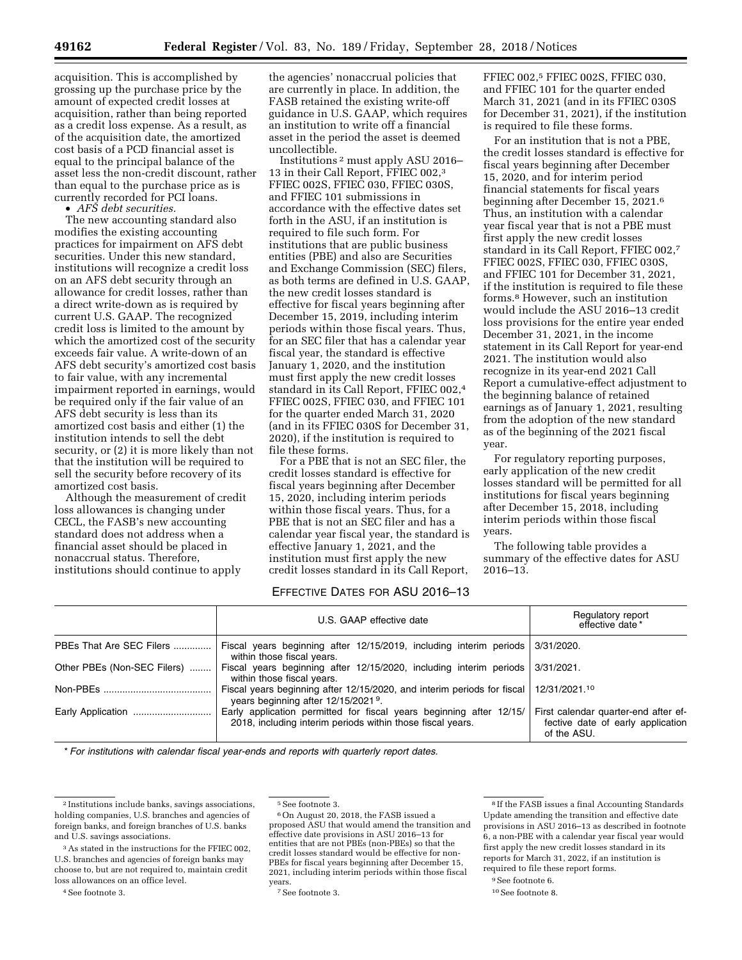acquisition. This is accomplished by grossing up the purchase price by the amount of expected credit losses at acquisition, rather than being reported as a credit loss expense. As a result, as of the acquisition date, the amortized cost basis of a PCD financial asset is equal to the principal balance of the asset less the non-credit discount, rather than equal to the purchase price as is currently recorded for PCI loans.

• *AFS debt securities.* 

The new accounting standard also modifies the existing accounting practices for impairment on AFS debt securities. Under this new standard, institutions will recognize a credit loss on an AFS debt security through an allowance for credit losses, rather than a direct write-down as is required by current U.S. GAAP. The recognized credit loss is limited to the amount by which the amortized cost of the security exceeds fair value. A write-down of an AFS debt security's amortized cost basis to fair value, with any incremental impairment reported in earnings, would be required only if the fair value of an AFS debt security is less than its amortized cost basis and either (1) the institution intends to sell the debt security, or (2) it is more likely than not that the institution will be required to sell the security before recovery of its amortized cost basis.

Although the measurement of credit loss allowances is changing under CECL, the FASB's new accounting standard does not address when a financial asset should be placed in nonaccrual status. Therefore, institutions should continue to apply

the agencies' nonaccrual policies that are currently in place. In addition, the FASB retained the existing write-off guidance in U.S. GAAP, which requires an institution to write off a financial asset in the period the asset is deemed uncollectible.

Institutions 2 must apply ASU 2016– 13 in their Call Report, FFIEC 002,3 FFIEC 002S, FFIEC 030, FFIEC 030S, and FFIEC 101 submissions in accordance with the effective dates set forth in the ASU, if an institution is required to file such form. For institutions that are public business entities (PBE) and also are Securities and Exchange Commission (SEC) filers, as both terms are defined in U.S. GAAP, the new credit losses standard is effective for fiscal years beginning after December 15, 2019, including interim periods within those fiscal years. Thus, for an SEC filer that has a calendar year fiscal year, the standard is effective January 1, 2020, and the institution must first apply the new credit losses standard in its Call Report, FFIEC 002,4 FFIEC 002S, FFIEC 030, and FFIEC 101 for the quarter ended March 31, 2020 (and in its FFIEC 030S for December 31, 2020), if the institution is required to file these forms.

For a PBE that is not an SEC filer, the credit losses standard is effective for fiscal years beginning after December 15, 2020, including interim periods within those fiscal years. Thus, for a PBE that is not an SEC filer and has a calendar year fiscal year, the standard is effective January 1, 2021, and the institution must first apply the new credit losses standard in its Call Report,

FFIEC 002,5 FFIEC 002S, FFIEC 030, and FFIEC 101 for the quarter ended March 31, 2021 (and in its FFIEC 030S for December 31, 2021), if the institution is required to file these forms.

For an institution that is not a PBE, the credit losses standard is effective for fiscal years beginning after December 15, 2020, and for interim period financial statements for fiscal years beginning after December 15, 2021.6 Thus, an institution with a calendar year fiscal year that is not a PBE must first apply the new credit losses standard in its Call Report, FFIEC 002,7 FFIEC 002S, FFIEC 030, FFIEC 030S, and FFIEC 101 for December 31, 2021, if the institution is required to file these forms.8 However, such an institution would include the ASU 2016–13 credit loss provisions for the entire year ended December 31, 2021, in the income statement in its Call Report for year-end 2021. The institution would also recognize in its year-end 2021 Call Report a cumulative-effect adjustment to the beginning balance of retained earnings as of January 1, 2021, resulting from the adoption of the new standard as of the beginning of the 2021 fiscal year.

For regulatory reporting purposes, early application of the new credit losses standard will be permitted for all institutions for fiscal years beginning after December 15, 2018, including interim periods within those fiscal years.

The following table provides a summary of the effective dates for ASU 2016–13.

# EFFECTIVE DATES FOR ASU 2016–13

|                             | U.S. GAAP effective date                                                                                                          | Regulatory report<br>effective date *                                                    |
|-----------------------------|-----------------------------------------------------------------------------------------------------------------------------------|------------------------------------------------------------------------------------------|
| PBEs That Are SEC Filers    | Fiscal years beginning after 12/15/2019, including interim periods<br>within those fiscal years.                                  | 3/31/2020.                                                                               |
| Other PBEs (Non-SEC Filers) | Fiscal years beginning after $12/15/2020$ , including interim periods<br>within those fiscal years.                               | 3/31/2021.                                                                               |
|                             | Fiscal years beginning after 12/15/2020, and interim periods for fiscal<br>years beginning after 12/15/2021 <sup>9</sup> .        | 12/31/2021.10                                                                            |
| Early Application           | Early application permitted for fiscal years beginning after 12/15/<br>2018, including interim periods within those fiscal years. | First calendar quarter-end after ef-<br>fective date of early application<br>of the ASU. |

\* *For institutions with calendar fiscal year-ends and reports with quarterly report dates.* 

<sup>4</sup> See footnote 3.

6On August 20, 2018, the FASB issued a proposed ASU that would amend the transition and effective date provisions in ASU 2016–13 for entities that are not PBEs (non-PBEs) so that the credit losses standard would be effective for non-PBEs for fiscal years beginning after December 15, 2021, including interim periods within those fiscal years.

7See footnote 3.

8 If the FASB issues a final Accounting Standards Update amending the transition and effective date provisions in ASU 2016–13 as described in footnote 6, a non-PBE with a calendar year fiscal year would first apply the new credit losses standard in its reports for March 31, 2022, if an institution is required to file these report forms.

10See footnote 8.

<sup>2</sup> Institutions include banks, savings associations, holding companies, U.S. branches and agencies of foreign banks, and foreign branches of U.S. banks and U.S. savings associations.

<sup>&</sup>lt;sup>3</sup> As stated in the instructions for the FFIEC 002, U.S. branches and agencies of foreign banks may choose to, but are not required to, maintain credit loss allowances on an office level.

<sup>5</sup>See footnote 3.

<sup>&</sup>lt;sup>9</sup> See footnote 6.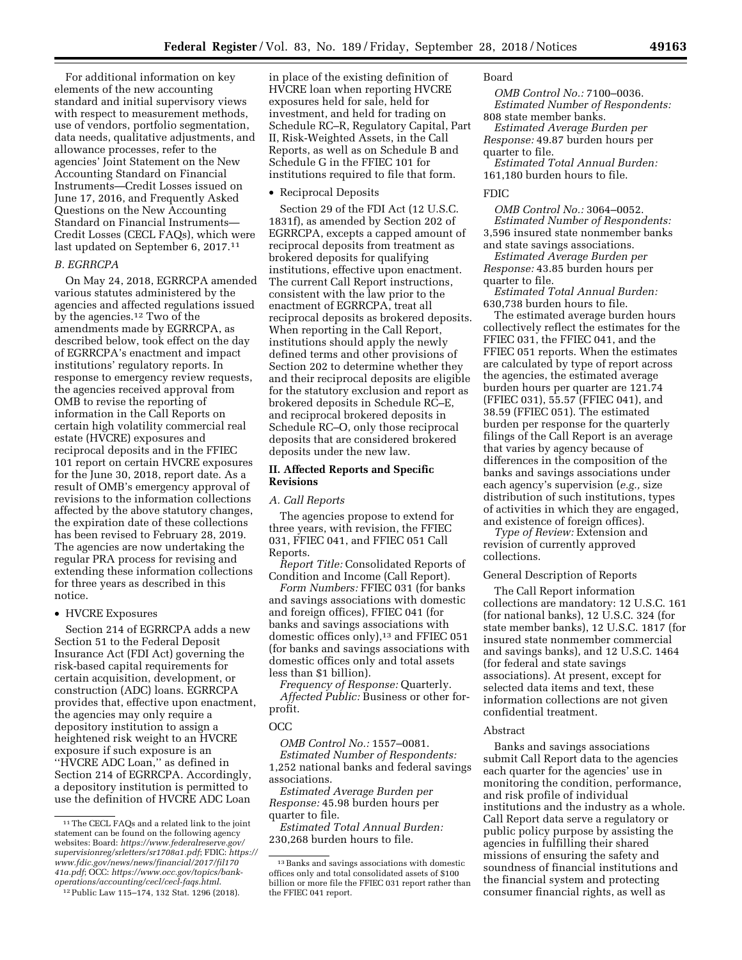For additional information on key elements of the new accounting standard and initial supervisory views with respect to measurement methods, use of vendors, portfolio segmentation, data needs, qualitative adjustments, and allowance processes, refer to the agencies' Joint Statement on the New Accounting Standard on Financial Instruments—Credit Losses issued on June 17, 2016, and Frequently Asked Questions on the New Accounting Standard on Financial Instruments— Credit Losses (CECL FAQs), which were last updated on September 6, 2017.11

### *B. EGRRCPA*

On May 24, 2018, EGRRCPA amended various statutes administered by the agencies and affected regulations issued by the agencies.12 Two of the amendments made by EGRRCPA, as described below, took effect on the day of EGRRCPA's enactment and impact institutions' regulatory reports. In response to emergency review requests, the agencies received approval from OMB to revise the reporting of information in the Call Reports on certain high volatility commercial real estate (HVCRE) exposures and reciprocal deposits and in the FFIEC 101 report on certain HVCRE exposures for the June 30, 2018, report date. As a result of OMB's emergency approval of revisions to the information collections affected by the above statutory changes, the expiration date of these collections has been revised to February 28, 2019. The agencies are now undertaking the regular PRA process for revising and extending these information collections for three years as described in this notice.

## • HVCRE Exposures

Section 214 of EGRRCPA adds a new Section 51 to the Federal Deposit Insurance Act (FDI Act) governing the risk-based capital requirements for certain acquisition, development, or construction (ADC) loans. EGRRCPA provides that, effective upon enactment, the agencies may only require a depository institution to assign a heightened risk weight to an HVCRE exposure if such exposure is an ''HVCRE ADC Loan,'' as defined in Section 214 of EGRRCPA. Accordingly, a depository institution is permitted to use the definition of HVCRE ADC Loan

in place of the existing definition of HVCRE loan when reporting HVCRE exposures held for sale, held for investment, and held for trading on Schedule RC–R, Regulatory Capital, Part II, Risk-Weighted Assets, in the Call Reports, as well as on Schedule B and Schedule G in the FFIEC 101 for institutions required to file that form.

• Reciprocal Deposits

Section 29 of the FDI Act (12 U.S.C. 1831f), as amended by Section 202 of EGRRCPA, excepts a capped amount of reciprocal deposits from treatment as brokered deposits for qualifying institutions, effective upon enactment. The current Call Report instructions, consistent with the law prior to the enactment of EGRRCPA, treat all reciprocal deposits as brokered deposits. When reporting in the Call Report, institutions should apply the newly defined terms and other provisions of Section 202 to determine whether they and their reciprocal deposits are eligible for the statutory exclusion and report as brokered deposits in Schedule RC–E, and reciprocal brokered deposits in Schedule RC–O, only those reciprocal deposits that are considered brokered deposits under the new law.

## **II. Affected Reports and Specific Revisions**

#### *A. Call Reports*

The agencies propose to extend for three years, with revision, the FFIEC 031, FFIEC 041, and FFIEC 051 Call Reports.

*Report Title:* Consolidated Reports of Condition and Income (Call Report).

*Form Numbers:* FFIEC 031 (for banks and savings associations with domestic and foreign offices), FFIEC 041 (for banks and savings associations with domestic offices only),<sup>13</sup> and FFIEC 051 (for banks and savings associations with domestic offices only and total assets less than \$1 billion).

*Frequency of Response:* Quarterly. *Affected Public:* Business or other forprofit.

# **OCC**

*OMB Control No.:* 1557–0081. *Estimated Number of Respondents:*  1,252 national banks and federal savings associations.

*Estimated Average Burden per Response:* 45.98 burden hours per quarter to file.

*Estimated Total Annual Burden:*  230,268 burden hours to file.

## Board

*OMB Control No.:* 7100–0036. *Estimated Number of Respondents:*  808 state member banks.

*Estimated Average Burden per Response:* 49.87 burden hours per quarter to file.

*Estimated Total Annual Burden:*  161,180 burden hours to file.

## FDIC

*OMB Control No.:* 3064–0052. *Estimated Number of Respondents:*  3,596 insured state nonmember banks and state savings associations.

*Estimated Average Burden per Response:* 43.85 burden hours per

quarter to file.

*Estimated Total Annual Burden:*  630,738 burden hours to file.

The estimated average burden hours collectively reflect the estimates for the FFIEC 031, the FFIEC 041, and the FFIEC 051 reports. When the estimates are calculated by type of report across the agencies, the estimated average burden hours per quarter are 121.74 (FFIEC 031), 55.57 (FFIEC 041), and 38.59 (FFIEC 051). The estimated burden per response for the quarterly filings of the Call Report is an average that varies by agency because of differences in the composition of the banks and savings associations under each agency's supervision (*e.g.,* size distribution of such institutions, types of activities in which they are engaged, and existence of foreign offices).

*Type of Review:* Extension and revision of currently approved collections.

#### General Description of Reports

The Call Report information collections are mandatory: 12 U.S.C. 161 (for national banks), 12 U.S.C. 324 (for state member banks), 12 U.S.C. 1817 (for insured state nonmember commercial and savings banks), and 12 U.S.C. 1464 (for federal and state savings associations). At present, except for selected data items and text, these information collections are not given confidential treatment.

## Abstract

Banks and savings associations submit Call Report data to the agencies each quarter for the agencies' use in monitoring the condition, performance, and risk profile of individual institutions and the industry as a whole. Call Report data serve a regulatory or public policy purpose by assisting the agencies in fulfilling their shared missions of ensuring the safety and soundness of financial institutions and the financial system and protecting consumer financial rights, as well as

<sup>11</sup>The CECL FAQs and a related link to the joint statement can be found on the following agency websites: Board: *[https://www.federalreserve.gov/](https://www.federalreserve.gov/supervisionreg/srletters/sr1708a1.pdf)  [supervisionreg/srletters/sr1708a1.pdf](https://www.federalreserve.gov/supervisionreg/srletters/sr1708a1.pdf)*; FDIC: *[https://](https://www.fdic.gov/news/news/financial/2017/fil17041a.pdf)  [www.fdic.gov/news/news/financial/2017/fil170](https://www.fdic.gov/news/news/financial/2017/fil17041a.pdf) [41a.pdf](https://www.fdic.gov/news/news/financial/2017/fil17041a.pdf)*; OCC: *[https://www.occ.gov/topics/bank](https://www.occ.gov/topics/bank-operations/accounting/cecl/cecl-faqs.html)[operations/accounting/cecl/cecl-faqs.html](https://www.occ.gov/topics/bank-operations/accounting/cecl/cecl-faqs.html)*.

<sup>12</sup>Public Law 115–174, 132 Stat. 1296 (2018).

<sup>13</sup>Banks and savings associations with domestic offices only and total consolidated assets of \$100 billion or more file the FFIEC 031 report rather than the FFIEC 041 report.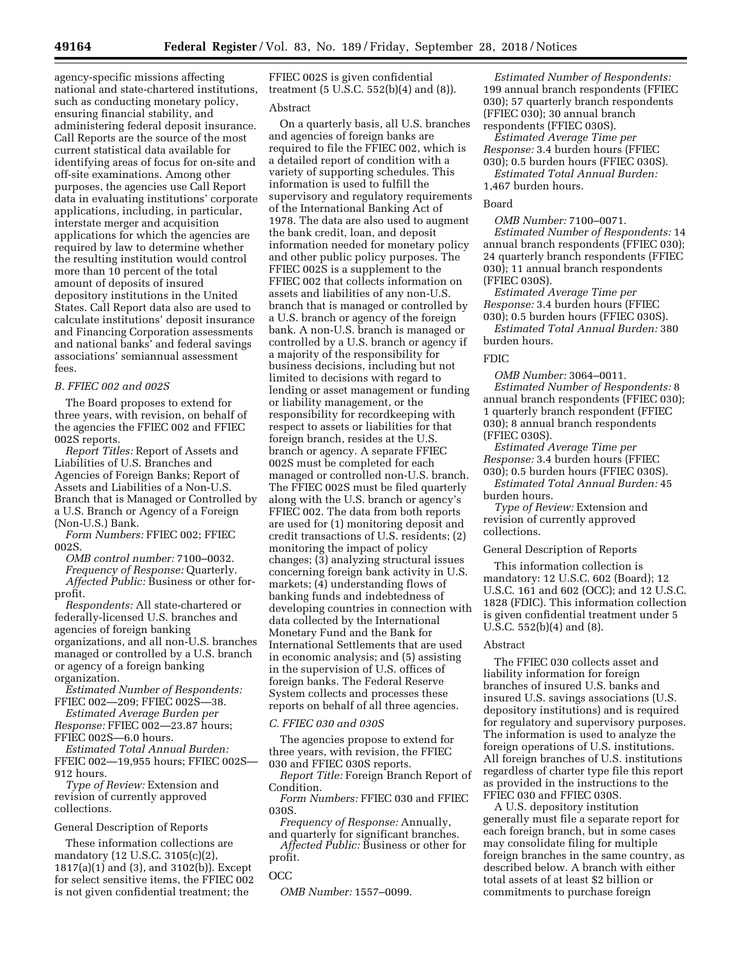agency-specific missions affecting national and state-chartered institutions, such as conducting monetary policy, ensuring financial stability, and administering federal deposit insurance. Call Reports are the source of the most current statistical data available for identifying areas of focus for on-site and off-site examinations. Among other purposes, the agencies use Call Report data in evaluating institutions' corporate applications, including, in particular, interstate merger and acquisition applications for which the agencies are required by law to determine whether the resulting institution would control more than 10 percent of the total amount of deposits of insured depository institutions in the United States. Call Report data also are used to calculate institutions' deposit insurance and Financing Corporation assessments and national banks' and federal savings associations' semiannual assessment fees.

#### *B. FFIEC 002 and 002S*

The Board proposes to extend for three years, with revision, on behalf of the agencies the FFIEC 002 and FFIEC 002S reports.

*Report Titles:* Report of Assets and Liabilities of U.S. Branches and Agencies of Foreign Banks; Report of Assets and Liabilities of a Non-U.S. Branch that is Managed or Controlled by a U.S. Branch or Agency of a Foreign (Non-U.S.) Bank.

*Form Numbers:* FFIEC 002; FFIEC 002S.

*OMB control number:* 7100–0032. *Frequency of Response:* Quarterly. *Affected Public:* Business or other forprofit.

*Respondents:* All state-chartered or federally-licensed U.S. branches and agencies of foreign banking organizations, and all non-U.S. branches managed or controlled by a U.S. branch or agency of a foreign banking organization.

*Estimated Number of Respondents:*  FFIEC 002—209; FFIEC 002S—38.

*Estimated Average Burden per Response:* FFIEC 002—23.87 hours; FFIEC 002S—6.0 hours.

*Estimated Total Annual Burden:*  FFEIC 002—19,955 hours; FFIEC 002S— 912 hours.

*Type of Review:* Extension and revision of currently approved collections.

## General Description of Reports

These information collections are mandatory (12 U.S.C. 3105(c)(2), 1817(a)(1) and (3), and 3102(b)). Except for select sensitive items, the FFIEC 002 is not given confidential treatment; the

FFIEC 002S is given confidential treatment (5 U.S.C. 552(b)(4) and (8)).

#### Abstract

On a quarterly basis, all U.S. branches and agencies of foreign banks are required to file the FFIEC 002, which is a detailed report of condition with a variety of supporting schedules. This information is used to fulfill the supervisory and regulatory requirements of the International Banking Act of 1978. The data are also used to augment the bank credit, loan, and deposit information needed for monetary policy and other public policy purposes. The FFIEC 002S is a supplement to the FFIEC 002 that collects information on assets and liabilities of any non-U.S. branch that is managed or controlled by a U.S. branch or agency of the foreign bank. A non-U.S. branch is managed or controlled by a U.S. branch or agency if a majority of the responsibility for business decisions, including but not limited to decisions with regard to lending or asset management or funding or liability management, or the responsibility for recordkeeping with respect to assets or liabilities for that foreign branch, resides at the U.S. branch or agency. A separate FFIEC 002S must be completed for each managed or controlled non-U.S. branch. The FFIEC 002S must be filed quarterly along with the U.S. branch or agency's FFIEC 002. The data from both reports are used for (1) monitoring deposit and credit transactions of U.S. residents; (2) monitoring the impact of policy changes; (3) analyzing structural issues concerning foreign bank activity in U.S. markets; (4) understanding flows of banking funds and indebtedness of developing countries in connection with data collected by the International Monetary Fund and the Bank for International Settlements that are used in economic analysis; and (5) assisting in the supervision of U.S. offices of foreign banks. The Federal Reserve System collects and processes these reports on behalf of all three agencies.

#### *C. FFIEC 030 and 030S*

The agencies propose to extend for three years, with revision, the FFIEC 030 and FFIEC 030S reports.

*Report Title:* Foreign Branch Report of Condition.

*Form Numbers:* FFIEC 030 and FFIEC 030S.

*Frequency of Response:* Annually, and quarterly for significant branches.

*Affected Public:* Business or other for profit.

# OCC

*OMB Number:* 1557–0099.

*Estimated Number of Respondents:*  199 annual branch respondents (FFIEC 030); 57 quarterly branch respondents (FFIEC 030); 30 annual branch respondents (FFIEC 030S).

*Estimated Average Time per Response:* 3.4 burden hours (FFIEC 030); 0.5 burden hours (FFIEC 030S).

*Estimated Total Annual Burden:*  1,467 burden hours.

#### Board

*OMB Number:* 7100–0071. *Estimated Number of Respondents:* 14 annual branch respondents (FFIEC 030); 24 quarterly branch respondents (FFIEC 030); 11 annual branch respondents (FFIEC 030S).

*Estimated Average Time per Response:* 3.4 burden hours (FFIEC 030); 0.5 burden hours (FFIEC 030S).

*Estimated Total Annual Burden:* 380 burden hours.

# FDIC

*OMB Number:* 3064–0011. *Estimated Number of Respondents:* 8 annual branch respondents (FFIEC 030); 1 quarterly branch respondent (FFIEC 030); 8 annual branch respondents (FFIEC 030S).

*Estimated Average Time per Response:* 3.4 burden hours (FFIEC 030); 0.5 burden hours (FFIEC 030S).

*Estimated Total Annual Burden:* 45 burden hours.

*Type of Review:* Extension and revision of currently approved collections.

#### General Description of Reports

This information collection is mandatory: 12 U.S.C. 602 (Board); 12 U.S.C. 161 and 602 (OCC); and 12 U.S.C. 1828 (FDIC). This information collection is given confidential treatment under 5 U.S.C. 552(b)(4) and (8).

#### Abstract

The FFIEC 030 collects asset and liability information for foreign branches of insured U.S. banks and insured U.S. savings associations (U.S. depository institutions) and is required for regulatory and supervisory purposes. The information is used to analyze the foreign operations of U.S. institutions. All foreign branches of U.S. institutions regardless of charter type file this report as provided in the instructions to the FFIEC 030 and FFIEC 030S.

A U.S. depository institution generally must file a separate report for each foreign branch, but in some cases may consolidate filing for multiple foreign branches in the same country, as described below. A branch with either total assets of at least \$2 billion or commitments to purchase foreign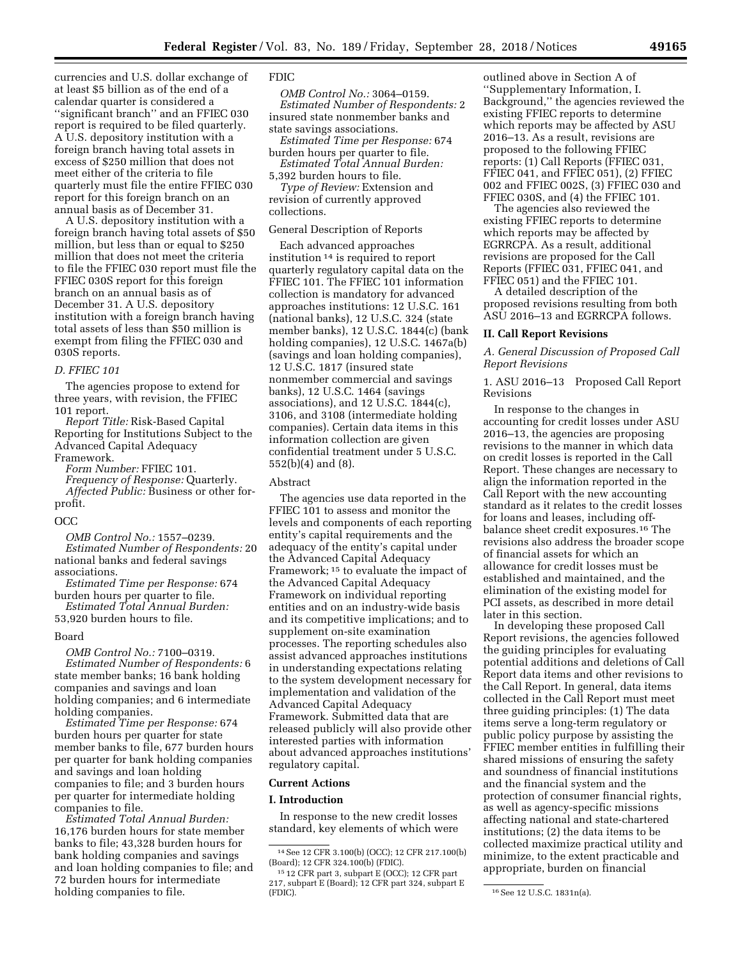currencies and U.S. dollar exchange of at least \$5 billion as of the end of a calendar quarter is considered a ''significant branch'' and an FFIEC 030 report is required to be filed quarterly. A U.S. depository institution with a foreign branch having total assets in excess of \$250 million that does not meet either of the criteria to file quarterly must file the entire FFIEC 030 report for this foreign branch on an annual basis as of December 31.

A U.S. depository institution with a foreign branch having total assets of \$50 million, but less than or equal to \$250 million that does not meet the criteria to file the FFIEC 030 report must file the FFIEC 030S report for this foreign branch on an annual basis as of December 31. A U.S. depository institution with a foreign branch having total assets of less than \$50 million is exempt from filing the FFIEC 030 and 030S reports.

#### *D. FFIEC 101*

The agencies propose to extend for three years, with revision, the FFIEC 101 report.

*Report Title:* Risk-Based Capital Reporting for Institutions Subject to the Advanced Capital Adequacy Framework.

*Form Number:* FFIEC 101. *Frequency of Response:* Quarterly. *Affected Public:* Business or other forprofit.

## **OCC**

*OMB Control No.:* 1557–0239. *Estimated Number of Respondents:* 20 national banks and federal savings associations.

*Estimated Time per Response:* 674 burden hours per quarter to file.

*Estimated Total Annual Burden:*  53,920 burden hours to file.

#### Board

*OMB Control No.:* 7100–0319. *Estimated Number of Respondents:* 6 state member banks; 16 bank holding companies and savings and loan holding companies; and 6 intermediate holding companies.

*Estimated Time per Response:* 674 burden hours per quarter for state member banks to file, 677 burden hours per quarter for bank holding companies and savings and loan holding companies to file; and 3 burden hours per quarter for intermediate holding companies to file.

*Estimated Total Annual Burden:*  16,176 burden hours for state member banks to file; 43,328 burden hours for bank holding companies and savings and loan holding companies to file; and 72 burden hours for intermediate holding companies to file.

# FDIC

*OMB Control No.:* 3064–0159. *Estimated Number of Respondents:* 2 insured state nonmember banks and state savings associations.

*Estimated Time per Response:* 674 burden hours per quarter to file. *Estimated Total Annual Burden:* 

5,392 burden hours to file. *Type of Review:* Extension and

revision of currently approved collections.

### General Description of Reports

Each advanced approaches institution 14 is required to report quarterly regulatory capital data on the FFIEC 101. The FFIEC 101 information collection is mandatory for advanced approaches institutions: 12 U.S.C. 161 (national banks), 12 U.S.C. 324 (state member banks), 12 U.S.C. 1844(c) (bank holding companies), 12 U.S.C. 1467a(b) (savings and loan holding companies), 12 U.S.C. 1817 (insured state nonmember commercial and savings banks), 12 U.S.C. 1464 (savings associations), and 12 U.S.C. 1844(c), 3106, and 3108 (intermediate holding companies). Certain data items in this information collection are given confidential treatment under 5 U.S.C. 552(b)(4) and (8).

#### Abstract

The agencies use data reported in the FFIEC 101 to assess and monitor the levels and components of each reporting entity's capital requirements and the adequacy of the entity's capital under the Advanced Capital Adequacy Framework; 15 to evaluate the impact of the Advanced Capital Adequacy Framework on individual reporting entities and on an industry-wide basis and its competitive implications; and to supplement on-site examination processes. The reporting schedules also assist advanced approaches institutions in understanding expectations relating to the system development necessary for implementation and validation of the Advanced Capital Adequacy Framework. Submitted data that are released publicly will also provide other interested parties with information about advanced approaches institutions' regulatory capital.

#### **Current Actions**

#### **I. Introduction**

In response to the new credit losses standard, key elements of which were outlined above in Section A of ''Supplementary Information, I. Background,'' the agencies reviewed the existing FFIEC reports to determine which reports may be affected by ASU 2016–13. As a result, revisions are proposed to the following FFIEC reports: (1) Call Reports (FFIEC 031, FFIEC 041, and FFIEC 051), (2) FFIEC 002 and FFIEC 002S, (3) FFIEC 030 and FFIEC 030S, and (4) the FFIEC 101.

The agencies also reviewed the existing FFIEC reports to determine which reports may be affected by EGRRCPA. As a result, additional revisions are proposed for the Call Reports (FFIEC 031, FFIEC 041, and FFIEC 051) and the FFIEC 101.

A detailed description of the proposed revisions resulting from both ASU 2016–13 and EGRRCPA follows.

#### **II. Call Report Revisions**

*A. General Discussion of Proposed Call Report Revisions* 

## 1. ASU 2016–13 Proposed Call Report Revisions

In response to the changes in accounting for credit losses under ASU 2016–13, the agencies are proposing revisions to the manner in which data on credit losses is reported in the Call Report. These changes are necessary to align the information reported in the Call Report with the new accounting standard as it relates to the credit losses for loans and leases, including offbalance sheet credit exposures.16 The revisions also address the broader scope of financial assets for which an allowance for credit losses must be established and maintained, and the elimination of the existing model for PCI assets, as described in more detail later in this section.

In developing these proposed Call Report revisions, the agencies followed the guiding principles for evaluating potential additions and deletions of Call Report data items and other revisions to the Call Report. In general, data items collected in the Call Report must meet three guiding principles: (1) The data items serve a long-term regulatory or public policy purpose by assisting the FFIEC member entities in fulfilling their shared missions of ensuring the safety and soundness of financial institutions and the financial system and the protection of consumer financial rights, as well as agency-specific missions affecting national and state-chartered institutions; (2) the data items to be collected maximize practical utility and minimize, to the extent practicable and appropriate, burden on financial

<sup>14</sup>See 12 CFR 3.100(b) (OCC); 12 CFR 217.100(b) (Board); 12 CFR 324.100(b) (FDIC).

<sup>15</sup> 12 CFR part 3, subpart E (OCC); 12 CFR part 217, subpart E (Board); 12 CFR part 324, subpart E

<sup>&</sup>lt;sup>16</sup> See 12 U.S.C. 1831n(a).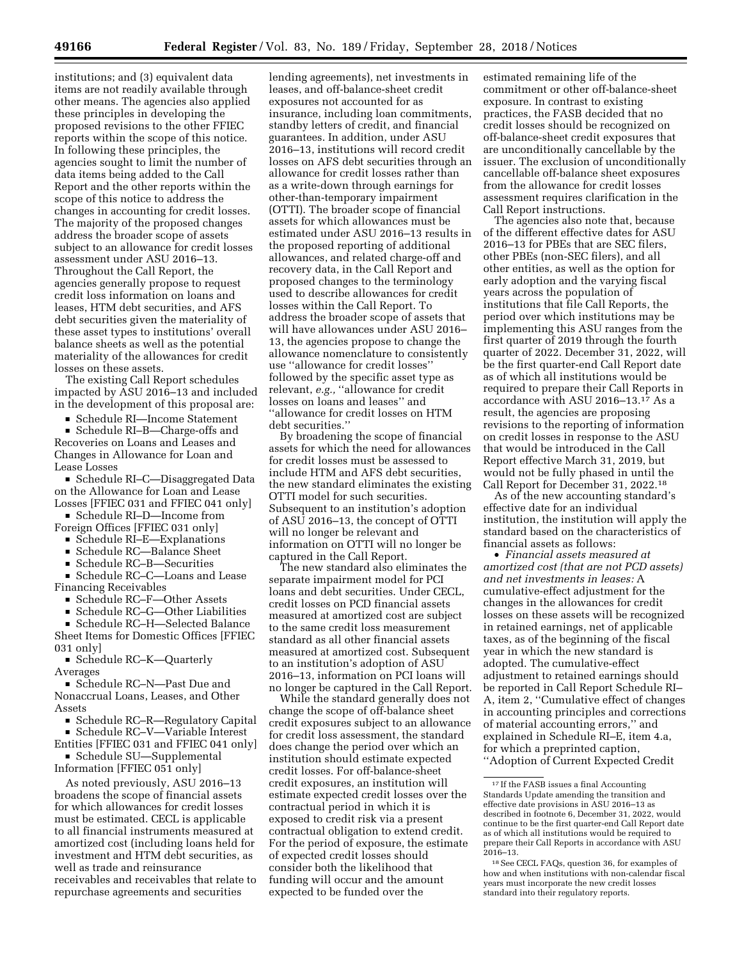institutions; and (3) equivalent data items are not readily available through other means. The agencies also applied these principles in developing the proposed revisions to the other FFIEC reports within the scope of this notice. In following these principles, the agencies sought to limit the number of data items being added to the Call Report and the other reports within the scope of this notice to address the changes in accounting for credit losses. The majority of the proposed changes address the broader scope of assets subject to an allowance for credit losses assessment under ASU 2016–13. Throughout the Call Report, the agencies generally propose to request credit loss information on loans and leases, HTM debt securities, and AFS debt securities given the materiality of these asset types to institutions' overall balance sheets as well as the potential materiality of the allowances for credit losses on these assets.

The existing Call Report schedules impacted by ASU 2016–13 and included in the development of this proposal are:

D Schedule RI—Income Statement

■ Schedule RI–B—Charge-offs and Recoveries on Loans and Leases and Changes in Allowance for Loan and Lease Losses

■ Schedule RI–C—Disaggregated Data on the Allowance for Loan and Lease Losses [FFIEC 031 and FFIEC 041 only]

■ Schedule RI–D—Income from Foreign Offices [FFIEC 031 only]

■ Schedule RI–E—Explanations

■ Schedule RC—Balance Sheet

■ Schedule RC–B—Securities<br>■ Schedule RC–C—Loans and ■ Schedule RC–C—Loans and Lease<br>nancing Receivables Financing Receivables

■ Schedule RC–F—Other Assets

 $\blacksquare$  Schedule RC–G—Other Liabilities

■ Schedule RC–H–Selected Balance Sheet Items for Domestic Offices [FFIEC 031 only]

■ Schedule RC–K—Quarterly Averages

■ Schedule RC–N—Past Due and Nonaccrual Loans, Leases, and Other Assets

■ Schedule RC–R—Regulatory Capital

■ Schedule RC–V—Variable Interest Entities [FFIEC 031 and FFIEC 041 only]

■ Schedule SU—Supplemental Information [FFIEC 051 only]

As noted previously, ASU 2016–13 broadens the scope of financial assets for which allowances for credit losses must be estimated. CECL is applicable to all financial instruments measured at amortized cost (including loans held for investment and HTM debt securities, as well as trade and reinsurance receivables and receivables that relate to repurchase agreements and securities

lending agreements), net investments in leases, and off-balance-sheet credit exposures not accounted for as insurance, including loan commitments, standby letters of credit, and financial guarantees. In addition, under ASU 2016–13, institutions will record credit losses on AFS debt securities through an allowance for credit losses rather than as a write-down through earnings for other-than-temporary impairment (OTTI). The broader scope of financial assets for which allowances must be estimated under ASU 2016–13 results in the proposed reporting of additional allowances, and related charge-off and recovery data, in the Call Report and proposed changes to the terminology used to describe allowances for credit losses within the Call Report. To address the broader scope of assets that will have allowances under ASU 2016– 13, the agencies propose to change the allowance nomenclature to consistently use ''allowance for credit losses'' followed by the specific asset type as relevant, *e.g.,* ''allowance for credit losses on loans and leases'' and ''allowance for credit losses on HTM debt securities.''

By broadening the scope of financial assets for which the need for allowances for credit losses must be assessed to include HTM and AFS debt securities, the new standard eliminates the existing OTTI model for such securities. Subsequent to an institution's adoption of ASU 2016–13, the concept of OTTI will no longer be relevant and information on OTTI will no longer be captured in the Call Report.

The new standard also eliminates the separate impairment model for PCI loans and debt securities. Under CECL, credit losses on PCD financial assets measured at amortized cost are subject to the same credit loss measurement standard as all other financial assets measured at amortized cost. Subsequent to an institution's adoption of ASU 2016–13, information on PCI loans will no longer be captured in the Call Report.

While the standard generally does not change the scope of off-balance sheet credit exposures subject to an allowance for credit loss assessment, the standard does change the period over which an institution should estimate expected credit losses. For off-balance-sheet credit exposures, an institution will estimate expected credit losses over the contractual period in which it is exposed to credit risk via a present contractual obligation to extend credit. For the period of exposure, the estimate of expected credit losses should consider both the likelihood that funding will occur and the amount expected to be funded over the

estimated remaining life of the commitment or other off-balance-sheet exposure. In contrast to existing practices, the FASB decided that no credit losses should be recognized on off-balance-sheet credit exposures that are unconditionally cancellable by the issuer. The exclusion of unconditionally cancellable off-balance sheet exposures from the allowance for credit losses assessment requires clarification in the Call Report instructions.

The agencies also note that, because of the different effective dates for ASU 2016–13 for PBEs that are SEC filers, other PBEs (non-SEC filers), and all other entities, as well as the option for early adoption and the varying fiscal years across the population of institutions that file Call Reports, the period over which institutions may be implementing this ASU ranges from the first quarter of 2019 through the fourth quarter of 2022. December 31, 2022, will be the first quarter-end Call Report date as of which all institutions would be required to prepare their Call Reports in accordance with ASU 2016–13.17 As a result, the agencies are proposing revisions to the reporting of information on credit losses in response to the ASU that would be introduced in the Call Report effective March 31, 2019, but would not be fully phased in until the Call Report for December 31, 2022.18

As of the new accounting standard's effective date for an individual institution, the institution will apply the standard based on the characteristics of financial assets as follows:

• *Financial assets measured at amortized cost (that are not PCD assets) and net investments in leases:* A cumulative-effect adjustment for the changes in the allowances for credit losses on these assets will be recognized in retained earnings, net of applicable taxes, as of the beginning of the fiscal year in which the new standard is adopted. The cumulative-effect adjustment to retained earnings should be reported in Call Report Schedule RI– A, item 2, ''Cumulative effect of changes in accounting principles and corrections of material accounting errors,'' and explained in Schedule RI–E, item 4.a, for which a preprinted caption, ''Adoption of Current Expected Credit

 $^{17}$  If the FASB issues a final Accounting Standards Update amending the transition and effective date provisions in ASU 2016–13 as described in footnote 6, December 31, 2022, would continue to be the first quarter-end Call Report date as of which all institutions would be required to prepare their Call Reports in accordance with ASU 2016–13.

<sup>18</sup>See CECL FAQs, question 36, for examples of how and when institutions with non-calendar fiscal years must incorporate the new credit losses standard into their regulatory reports.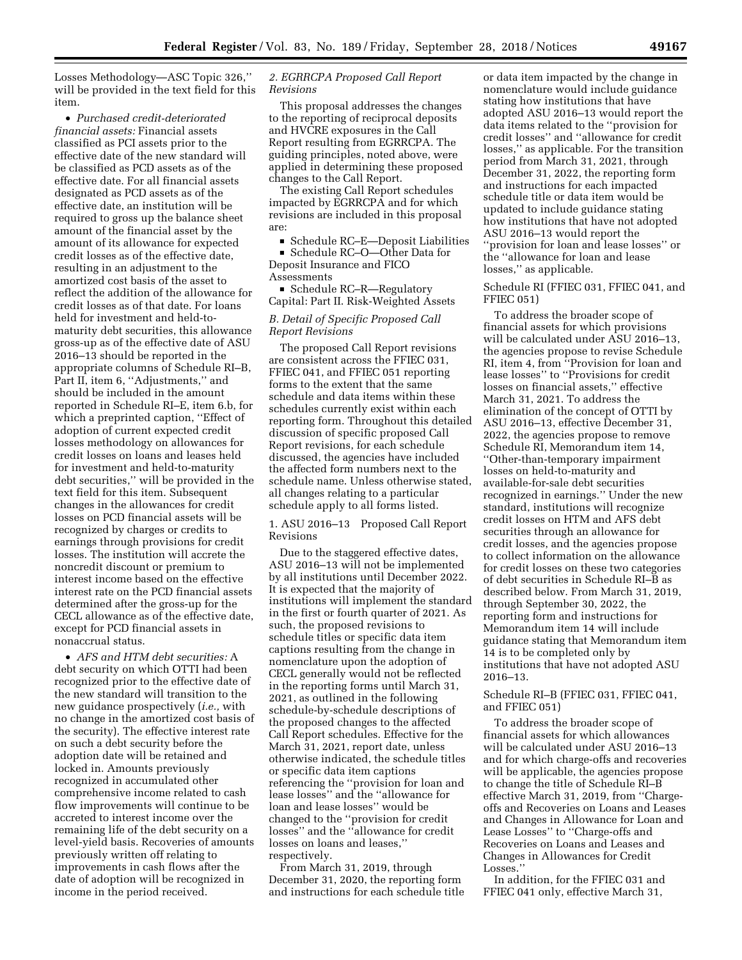Losses Methodology—ASC Topic 326,'' will be provided in the text field for this item.

• *Purchased credit-deteriorated financial assets:* Financial assets classified as PCI assets prior to the effective date of the new standard will be classified as PCD assets as of the effective date. For all financial assets designated as PCD assets as of the effective date, an institution will be required to gross up the balance sheet amount of the financial asset by the amount of its allowance for expected credit losses as of the effective date, resulting in an adjustment to the amortized cost basis of the asset to reflect the addition of the allowance for credit losses as of that date. For loans held for investment and held-tomaturity debt securities, this allowance gross-up as of the effective date of ASU 2016–13 should be reported in the appropriate columns of Schedule RI–B, Part II, item 6, "Adjustments," and should be included in the amount reported in Schedule RI–E, item 6.b, for which a preprinted caption, ''Effect of adoption of current expected credit losses methodology on allowances for credit losses on loans and leases held for investment and held-to-maturity debt securities,'' will be provided in the text field for this item. Subsequent changes in the allowances for credit losses on PCD financial assets will be recognized by charges or credits to earnings through provisions for credit losses. The institution will accrete the noncredit discount or premium to interest income based on the effective interest rate on the PCD financial assets determined after the gross-up for the CECL allowance as of the effective date, except for PCD financial assets in nonaccrual status.

• *AFS and HTM debt securities:* A debt security on which OTTI had been recognized prior to the effective date of the new standard will transition to the new guidance prospectively (*i.e.,* with no change in the amortized cost basis of the security). The effective interest rate on such a debt security before the adoption date will be retained and locked in. Amounts previously recognized in accumulated other comprehensive income related to cash flow improvements will continue to be accreted to interest income over the remaining life of the debt security on a level-yield basis. Recoveries of amounts previously written off relating to improvements in cash flows after the date of adoption will be recognized in income in the period received.

## *2. EGRRCPA Proposed Call Report Revisions*

This proposal addresses the changes to the reporting of reciprocal deposits and HVCRE exposures in the Call Report resulting from EGRRCPA. The guiding principles, noted above, were applied in determining these proposed changes to the Call Report.

The existing Call Report schedules impacted by EGRRCPA and for which revisions are included in this proposal are:

■ Schedule RC–E—Deposit Liabilities

■ Schedule RC–O—Other Data for Deposit Insurance and FICO

Assessments

■ Schedule RC–R—Regulatory Capital: Part II. Risk-Weighted Assets

## *B. Detail of Specific Proposed Call Report Revisions*

The proposed Call Report revisions are consistent across the FFIEC 031, FFIEC 041, and FFIEC 051 reporting forms to the extent that the same schedule and data items within these schedules currently exist within each reporting form. Throughout this detailed discussion of specific proposed Call Report revisions, for each schedule discussed, the agencies have included the affected form numbers next to the schedule name. Unless otherwise stated, all changes relating to a particular schedule apply to all forms listed.

1. ASU 2016–13 Proposed Call Report Revisions

Due to the staggered effective dates, ASU 2016–13 will not be implemented by all institutions until December 2022. It is expected that the majority of institutions will implement the standard in the first or fourth quarter of 2021. As such, the proposed revisions to schedule titles or specific data item captions resulting from the change in nomenclature upon the adoption of CECL generally would not be reflected in the reporting forms until March 31, 2021, as outlined in the following schedule-by-schedule descriptions of the proposed changes to the affected Call Report schedules. Effective for the March 31, 2021, report date, unless otherwise indicated, the schedule titles or specific data item captions referencing the ''provision for loan and lease losses'' and the ''allowance for loan and lease losses'' would be changed to the ''provision for credit losses'' and the ''allowance for credit losses on loans and leases,'' respectively.

From March 31, 2019, through December 31, 2020, the reporting form and instructions for each schedule title

or data item impacted by the change in nomenclature would include guidance stating how institutions that have adopted ASU 2016–13 would report the data items related to the ''provision for credit losses'' and ''allowance for credit losses,'' as applicable. For the transition period from March 31, 2021, through December 31, 2022, the reporting form and instructions for each impacted schedule title or data item would be updated to include guidance stating how institutions that have not adopted ASU 2016–13 would report the ''provision for loan and lease losses'' or the ''allowance for loan and lease losses,'' as applicable.

### Schedule RI (FFIEC 031, FFIEC 041, and FFIEC 051)

To address the broader scope of financial assets for which provisions will be calculated under ASU 2016–13, the agencies propose to revise Schedule RI, item 4, from ''Provision for loan and lease losses'' to ''Provisions for credit losses on financial assets,'' effective March 31, 2021. To address the elimination of the concept of OTTI by ASU 2016–13, effective December 31, 2022, the agencies propose to remove Schedule RI, Memorandum item 14, ''Other-than-temporary impairment losses on held-to-maturity and available-for-sale debt securities recognized in earnings.'' Under the new standard, institutions will recognize credit losses on HTM and AFS debt securities through an allowance for credit losses, and the agencies propose to collect information on the allowance for credit losses on these two categories of debt securities in Schedule RI–B as described below. From March 31, 2019, through September 30, 2022, the reporting form and instructions for Memorandum item 14 will include guidance stating that Memorandum item 14 is to be completed only by institutions that have not adopted ASU 2016–13.

## Schedule RI–B (FFIEC 031, FFIEC 041, and FFIEC 051)

To address the broader scope of financial assets for which allowances will be calculated under ASU 2016–13 and for which charge-offs and recoveries will be applicable, the agencies propose to change the title of Schedule RI–B effective March 31, 2019, from ''Chargeoffs and Recoveries on Loans and Leases and Changes in Allowance for Loan and Lease Losses'' to ''Charge-offs and Recoveries on Loans and Leases and Changes in Allowances for Credit Losses."

In addition, for the FFIEC 031 and FFIEC 041 only, effective March 31,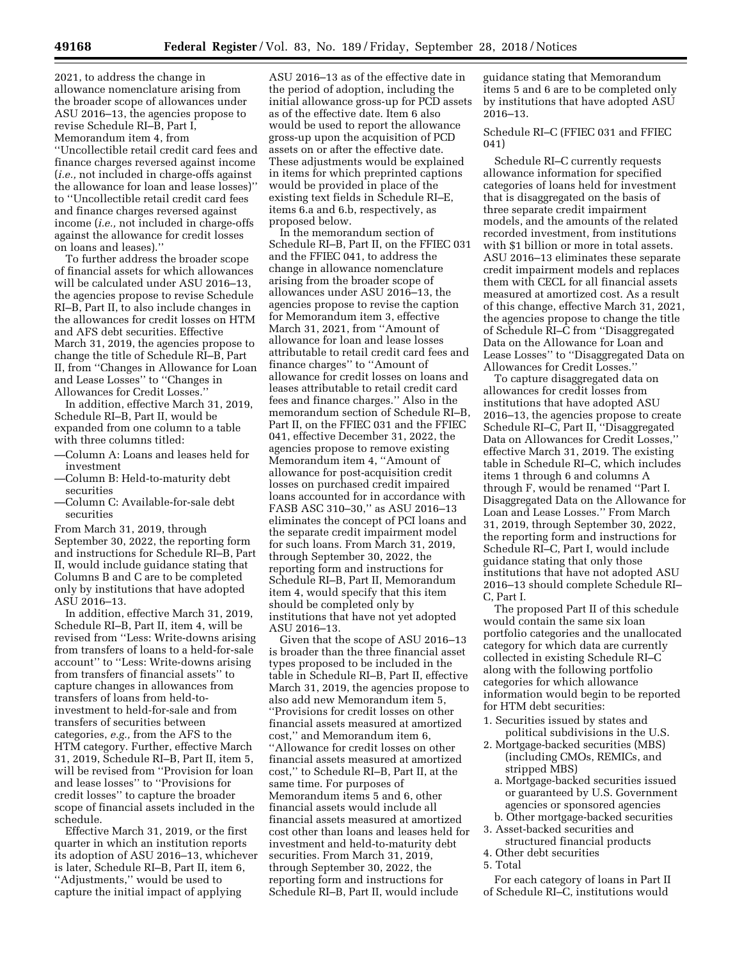2021, to address the change in allowance nomenclature arising from the broader scope of allowances under ASU 2016–13, the agencies propose to revise Schedule RI–B, Part I, Memorandum item 4, from

''Uncollectible retail credit card fees and finance charges reversed against income (*i.e.,* not included in charge-offs against the allowance for loan and lease losses)'' to ''Uncollectible retail credit card fees and finance charges reversed against income (*i.e.,* not included in charge-offs against the allowance for credit losses on loans and leases).''

To further address the broader scope of financial assets for which allowances will be calculated under ASU 2016–13, the agencies propose to revise Schedule RI–B, Part II, to also include changes in the allowances for credit losses on HTM and AFS debt securities. Effective March 31, 2019, the agencies propose to change the title of Schedule RI–B, Part II, from ''Changes in Allowance for Loan and Lease Losses'' to ''Changes in Allowances for Credit Losses.''

In addition, effective March 31, 2019, Schedule RI–B, Part II, would be expanded from one column to a table with three columns titled:

- —Column A: Loans and leases held for investment
- —Column B: Held-to-maturity debt securities
- —Column C: Available-for-sale debt securities

From March 31, 2019, through September 30, 2022, the reporting form and instructions for Schedule RI–B, Part II, would include guidance stating that Columns B and C are to be completed only by institutions that have adopted ASU 2016–13.

In addition, effective March 31, 2019, Schedule RI–B, Part II, item 4, will be revised from ''Less: Write-downs arising from transfers of loans to a held-for-sale account'' to ''Less: Write-downs arising from transfers of financial assets'' to capture changes in allowances from transfers of loans from held-toinvestment to held-for-sale and from transfers of securities between categories, *e.g.,* from the AFS to the HTM category. Further, effective March 31, 2019, Schedule RI–B, Part II, item 5, will be revised from ''Provision for loan and lease losses'' to ''Provisions for credit losses'' to capture the broader scope of financial assets included in the schedule.

Effective March 31, 2019, or the first quarter in which an institution reports its adoption of ASU 2016–13, whichever is later, Schedule RI–B, Part II, item 6, ''Adjustments,'' would be used to capture the initial impact of applying

ASU 2016–13 as of the effective date in the period of adoption, including the initial allowance gross-up for PCD assets as of the effective date. Item 6 also would be used to report the allowance gross-up upon the acquisition of PCD assets on or after the effective date. These adjustments would be explained in items for which preprinted captions would be provided in place of the existing text fields in Schedule RI–E, items 6.a and 6.b, respectively, as proposed below.

In the memorandum section of Schedule RI–B, Part II, on the FFIEC 031 and the FFIEC 041, to address the change in allowance nomenclature arising from the broader scope of allowances under ASU 2016–13, the agencies propose to revise the caption for Memorandum item 3, effective March 31, 2021, from ''Amount of allowance for loan and lease losses attributable to retail credit card fees and finance charges'' to ''Amount of allowance for credit losses on loans and leases attributable to retail credit card fees and finance charges.'' Also in the memorandum section of Schedule RI–B, Part II, on the FFIEC 031 and the FFIEC 041, effective December 31, 2022, the agencies propose to remove existing Memorandum item 4, ''Amount of allowance for post-acquisition credit losses on purchased credit impaired loans accounted for in accordance with FASB ASC 310–30,'' as ASU 2016–13 eliminates the concept of PCI loans and the separate credit impairment model for such loans. From March 31, 2019, through September 30, 2022, the reporting form and instructions for Schedule RI–B, Part II, Memorandum item 4, would specify that this item should be completed only by institutions that have not yet adopted ASU 2016–13.

Given that the scope of ASU 2016–13 is broader than the three financial asset types proposed to be included in the table in Schedule RI–B, Part II, effective March 31, 2019, the agencies propose to also add new Memorandum item 5, ''Provisions for credit losses on other financial assets measured at amortized cost,'' and Memorandum item 6, ''Allowance for credit losses on other financial assets measured at amortized cost,'' to Schedule RI–B, Part II, at the same time. For purposes of Memorandum items 5 and 6, other financial assets would include all financial assets measured at amortized cost other than loans and leases held for investment and held-to-maturity debt securities. From March 31, 2019, through September 30, 2022, the reporting form and instructions for Schedule RI–B, Part II, would include

guidance stating that Memorandum items 5 and 6 are to be completed only by institutions that have adopted ASU 2016–13.

## Schedule RI–C (FFIEC 031 and FFIEC 041)

Schedule RI–C currently requests allowance information for specified categories of loans held for investment that is disaggregated on the basis of three separate credit impairment models, and the amounts of the related recorded investment, from institutions with \$1 billion or more in total assets. ASU 2016–13 eliminates these separate credit impairment models and replaces them with CECL for all financial assets measured at amortized cost. As a result of this change, effective March 31, 2021, the agencies propose to change the title of Schedule RI–C from ''Disaggregated Data on the Allowance for Loan and Lease Losses'' to ''Disaggregated Data on Allowances for Credit Losses.''

To capture disaggregated data on allowances for credit losses from institutions that have adopted ASU 2016–13, the agencies propose to create Schedule RI–C, Part II, "Disaggregated Data on Allowances for Credit Losses,'' effective March 31, 2019. The existing table in Schedule RI–C, which includes items 1 through 6 and columns A through F, would be renamed ''Part I. Disaggregated Data on the Allowance for Loan and Lease Losses.'' From March 31, 2019, through September 30, 2022, the reporting form and instructions for Schedule RI–C, Part I, would include guidance stating that only those institutions that have not adopted ASU 2016–13 should complete Schedule RI– C, Part I.

The proposed Part II of this schedule would contain the same six loan portfolio categories and the unallocated category for which data are currently collected in existing Schedule RI–C along with the following portfolio categories for which allowance information would begin to be reported for HTM debt securities:

- 1. Securities issued by states and political subdivisions in the U.S.
- 2. Mortgage-backed securities (MBS) (including CMOs, REMICs, and stripped MBS)
	- a. Mortgage-backed securities issued or guaranteed by U.S. Government agencies or sponsored agencies
- b. Other mortgage-backed securities 3. Asset-backed securities and
- structured financial products 4. Other debt securities
- 5. Total

For each category of loans in Part II of Schedule RI–C, institutions would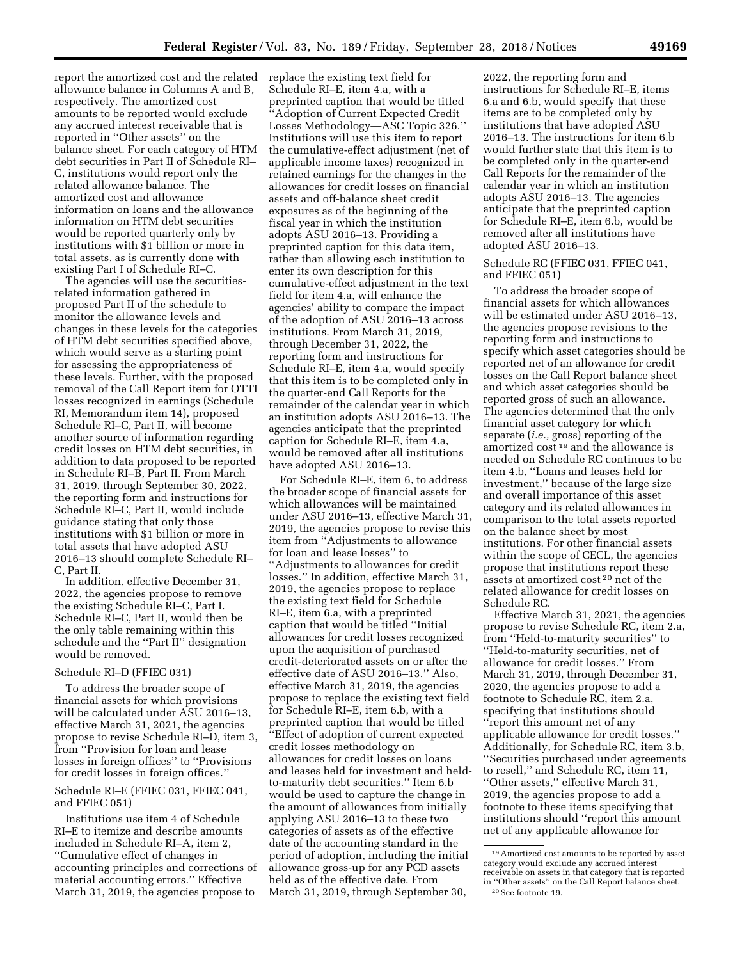report the amortized cost and the related allowance balance in Columns A and B, respectively. The amortized cost amounts to be reported would exclude any accrued interest receivable that is reported in ''Other assets'' on the balance sheet. For each category of HTM debt securities in Part II of Schedule RI– C, institutions would report only the related allowance balance. The amortized cost and allowance information on loans and the allowance information on HTM debt securities would be reported quarterly only by institutions with \$1 billion or more in total assets, as is currently done with existing Part I of Schedule RI–C.

The agencies will use the securitiesrelated information gathered in proposed Part II of the schedule to monitor the allowance levels and changes in these levels for the categories of HTM debt securities specified above, which would serve as a starting point for assessing the appropriateness of these levels. Further, with the proposed removal of the Call Report item for OTTI losses recognized in earnings (Schedule RI, Memorandum item 14), proposed Schedule RI–C, Part II, will become another source of information regarding credit losses on HTM debt securities, in addition to data proposed to be reported in Schedule RI–B, Part II. From March 31, 2019, through September 30, 2022, the reporting form and instructions for Schedule RI–C, Part II, would include guidance stating that only those institutions with \$1 billion or more in total assets that have adopted ASU 2016–13 should complete Schedule RI– C, Part II.

In addition, effective December 31, 2022, the agencies propose to remove the existing Schedule RI–C, Part I. Schedule RI–C, Part II, would then be the only table remaining within this schedule and the ''Part II'' designation would be removed.

# Schedule RI–D (FFIEC 031)

To address the broader scope of financial assets for which provisions will be calculated under ASU 2016–13, effective March 31, 2021, the agencies propose to revise Schedule RI–D, item 3, from ''Provision for loan and lease losses in foreign offices'' to ''Provisions for credit losses in foreign offices.''

## Schedule RI–E (FFIEC 031, FFIEC 041, and FFIEC 051)

Institutions use item 4 of Schedule RI–E to itemize and describe amounts included in Schedule RI–A, item 2, ''Cumulative effect of changes in accounting principles and corrections of material accounting errors.'' Effective March 31, 2019, the agencies propose to

replace the existing text field for Schedule RI–E, item 4.a, with a preprinted caption that would be titled ''Adoption of Current Expected Credit Losses Methodology—ASC Topic 326.'' Institutions will use this item to report the cumulative-effect adjustment (net of applicable income taxes) recognized in retained earnings for the changes in the allowances for credit losses on financial assets and off-balance sheet credit exposures as of the beginning of the fiscal year in which the institution adopts ASU 2016–13. Providing a preprinted caption for this data item, rather than allowing each institution to enter its own description for this cumulative-effect adjustment in the text field for item 4.a, will enhance the agencies' ability to compare the impact of the adoption of ASU 2016–13 across institutions. From March 31, 2019, through December 31, 2022, the reporting form and instructions for Schedule RI–E, item 4.a, would specify that this item is to be completed only in the quarter-end Call Reports for the remainder of the calendar year in which an institution adopts ASU 2016–13. The agencies anticipate that the preprinted caption for Schedule RI–E, item 4.a, would be removed after all institutions have adopted ASU 2016-13.

For Schedule RI–E, item 6, to address the broader scope of financial assets for which allowances will be maintained under ASU 2016–13, effective March 31, 2019, the agencies propose to revise this item from ''Adjustments to allowance for loan and lease losses'' to ''Adjustments to allowances for credit losses.'' In addition, effective March 31, 2019, the agencies propose to replace the existing text field for Schedule RI–E, item 6.a, with a preprinted caption that would be titled ''Initial allowances for credit losses recognized upon the acquisition of purchased credit-deteriorated assets on or after the effective date of ASU 2016–13.'' Also, effective March 31, 2019, the agencies propose to replace the existing text field for Schedule RI–E, item 6.b, with a preprinted caption that would be titled ''Effect of adoption of current expected credit losses methodology on allowances for credit losses on loans and leases held for investment and heldto-maturity debt securities.'' Item 6.b would be used to capture the change in the amount of allowances from initially applying ASU 2016–13 to these two categories of assets as of the effective date of the accounting standard in the period of adoption, including the initial allowance gross-up for any PCD assets held as of the effective date. From March 31, 2019, through September 30,

2022, the reporting form and instructions for Schedule RI–E, items 6.a and 6.b, would specify that these items are to be completed only by institutions that have adopted ASU 2016–13. The instructions for item 6.b would further state that this item is to be completed only in the quarter-end Call Reports for the remainder of the calendar year in which an institution adopts ASU 2016–13. The agencies anticipate that the preprinted caption for Schedule RI–E, item 6.b, would be removed after all institutions have adopted ASU 2016–13.

Schedule RC (FFIEC 031, FFIEC 041, and FFIEC 051)

To address the broader scope of financial assets for which allowances will be estimated under ASU 2016–13, the agencies propose revisions to the reporting form and instructions to specify which asset categories should be reported net of an allowance for credit losses on the Call Report balance sheet and which asset categories should be reported gross of such an allowance. The agencies determined that the only financial asset category for which separate (*i.e.,* gross) reporting of the amortized cost 19 and the allowance is needed on Schedule RC continues to be item 4.b, ''Loans and leases held for investment,'' because of the large size and overall importance of this asset category and its related allowances in comparison to the total assets reported on the balance sheet by most institutions. For other financial assets within the scope of CECL, the agencies propose that institutions report these assets at amortized cost 20 net of the related allowance for credit losses on Schedule RC.

Effective March 31, 2021, the agencies propose to revise Schedule RC, item 2.a, from ''Held-to-maturity securities'' to ''Held-to-maturity securities, net of allowance for credit losses.'' From March 31, 2019, through December 31, 2020, the agencies propose to add a footnote to Schedule RC, item 2.a, specifying that institutions should ''report this amount net of any applicable allowance for credit losses.'' Additionally, for Schedule RC, item 3.b, ''Securities purchased under agreements to resell,'' and Schedule RC, item 11, ''Other assets,'' effective March 31, 2019, the agencies propose to add a footnote to these items specifying that institutions should ''report this amount net of any applicable allowance for

<sup>19</sup>Amortized cost amounts to be reported by asset category would exclude any accrued interest receivable on assets in that category that is reported in "Other assets" on the Call Report balance sheet.<br><sup>20</sup> See footnote 19.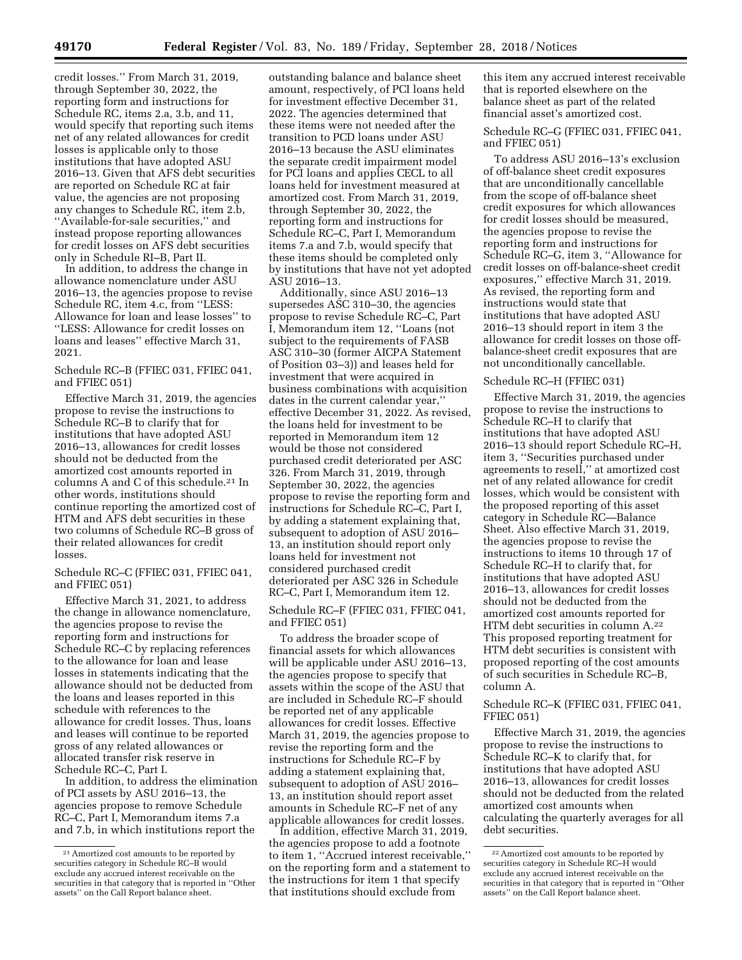credit losses.'' From March 31, 2019, through September 30, 2022, the reporting form and instructions for Schedule RC, items 2.a, 3.b, and 11, would specify that reporting such items net of any related allowances for credit losses is applicable only to those institutions that have adopted ASU 2016–13. Given that AFS debt securities are reported on Schedule RC at fair value, the agencies are not proposing any changes to Schedule RC, item 2.b, ''Available-for-sale securities,'' and instead propose reporting allowances for credit losses on AFS debt securities only in Schedule RI–B, Part II.

In addition, to address the change in allowance nomenclature under ASU 2016–13, the agencies propose to revise Schedule RC, item 4.c, from ''LESS: Allowance for loan and lease losses'' to ''LESS: Allowance for credit losses on loans and leases'' effective March 31, 2021.

## Schedule RC–B (FFIEC 031, FFIEC 041, and FFIEC 051)

Effective March 31, 2019, the agencies propose to revise the instructions to Schedule RC–B to clarify that for institutions that have adopted ASU 2016–13, allowances for credit losses should not be deducted from the amortized cost amounts reported in columns A and C of this schedule.21 In other words, institutions should continue reporting the amortized cost of HTM and AFS debt securities in these two columns of Schedule RC–B gross of their related allowances for credit losses.

## Schedule RC–C (FFIEC 031, FFIEC 041, and FFIEC 051)

Effective March 31, 2021, to address the change in allowance nomenclature, the agencies propose to revise the reporting form and instructions for Schedule RC–C by replacing references to the allowance for loan and lease losses in statements indicating that the allowance should not be deducted from the loans and leases reported in this schedule with references to the allowance for credit losses. Thus, loans and leases will continue to be reported gross of any related allowances or allocated transfer risk reserve in Schedule RC–C, Part I.

In addition, to address the elimination of PCI assets by ASU 2016–13, the agencies propose to remove Schedule RC–C, Part I, Memorandum items 7.a and 7.b, in which institutions report the

outstanding balance and balance sheet amount, respectively, of PCI loans held for investment effective December 31, 2022. The agencies determined that these items were not needed after the transition to PCD loans under ASU 2016–13 because the ASU eliminates the separate credit impairment model for PCI loans and applies CECL to all loans held for investment measured at amortized cost. From March 31, 2019, through September 30, 2022, the reporting form and instructions for Schedule RC–C, Part I, Memorandum items 7.a and 7.b, would specify that these items should be completed only by institutions that have not yet adopted ASU 2016–13.

Additionally, since ASU 2016–13 supersedes ASC 310–30, the agencies propose to revise Schedule RC–C, Part I, Memorandum item 12, ''Loans (not subject to the requirements of FASB ASC 310–30 (former AICPA Statement of Position 03–3)) and leases held for investment that were acquired in business combinations with acquisition dates in the current calendar year,'' effective December 31, 2022. As revised, the loans held for investment to be reported in Memorandum item 12 would be those not considered purchased credit deteriorated per ASC 326. From March 31, 2019, through September 30, 2022, the agencies propose to revise the reporting form and instructions for Schedule RC–C, Part I, by adding a statement explaining that, subsequent to adoption of ASU 2016– 13, an institution should report only loans held for investment not considered purchased credit deteriorated per ASC 326 in Schedule RC–C, Part I, Memorandum item 12.

## Schedule RC–F (FFIEC 031, FFIEC 041, and FFIEC 051)

To address the broader scope of financial assets for which allowances will be applicable under ASU 2016–13, the agencies propose to specify that assets within the scope of the ASU that are included in Schedule RC–F should be reported net of any applicable allowances for credit losses. Effective March 31, 2019, the agencies propose to revise the reporting form and the instructions for Schedule RC–F by adding a statement explaining that, subsequent to adoption of ASU 2016– 13, an institution should report asset amounts in Schedule RC–F net of any applicable allowances for credit losses.

In addition, effective March 31, 2019, the agencies propose to add a footnote to item 1, ''Accrued interest receivable,'' on the reporting form and a statement to the instructions for item 1 that specify that institutions should exclude from

this item any accrued interest receivable that is reported elsewhere on the balance sheet as part of the related financial asset's amortized cost.

Schedule RC–G (FFIEC 031, FFIEC 041, and FFIEC 051)

To address ASU 2016–13's exclusion of off-balance sheet credit exposures that are unconditionally cancellable from the scope of off-balance sheet credit exposures for which allowances for credit losses should be measured, the agencies propose to revise the reporting form and instructions for Schedule RC–G, item 3, ''Allowance for credit losses on off-balance-sheet credit exposures,'' effective March 31, 2019. As revised, the reporting form and instructions would state that institutions that have adopted ASU 2016–13 should report in item 3 the allowance for credit losses on those offbalance-sheet credit exposures that are not unconditionally cancellable.

#### Schedule RC–H (FFIEC 031)

Effective March 31, 2019, the agencies propose to revise the instructions to Schedule RC–H to clarify that institutions that have adopted ASU 2016–13 should report Schedule RC–H, item 3, ''Securities purchased under agreements to resell,'' at amortized cost net of any related allowance for credit losses, which would be consistent with the proposed reporting of this asset category in Schedule RC—Balance Sheet. Also effective March 31, 2019, the agencies propose to revise the instructions to items 10 through 17 of Schedule RC–H to clarify that, for institutions that have adopted ASU 2016–13, allowances for credit losses should not be deducted from the amortized cost amounts reported for HTM debt securities in column A.22 This proposed reporting treatment for HTM debt securities is consistent with proposed reporting of the cost amounts of such securities in Schedule RC–B, column A.

## Schedule RC–K (FFIEC 031, FFIEC 041, FFIEC 051)

Effective March 31, 2019, the agencies propose to revise the instructions to Schedule RC–K to clarify that, for institutions that have adopted ASU 2016–13, allowances for credit losses should not be deducted from the related amortized cost amounts when calculating the quarterly averages for all debt securities.

<sup>21</sup>Amortized cost amounts to be reported by securities category in Schedule RC–B would exclude any accrued interest receivable on the securities in that category that is reported in ''Other assets'' on the Call Report balance sheet.

<sup>22</sup>Amortized cost amounts to be reported by securities category in Schedule RC–H would exclude any accrued interest receivable on the securities in that category that is reported in ''Other assets'' on the Call Report balance sheet.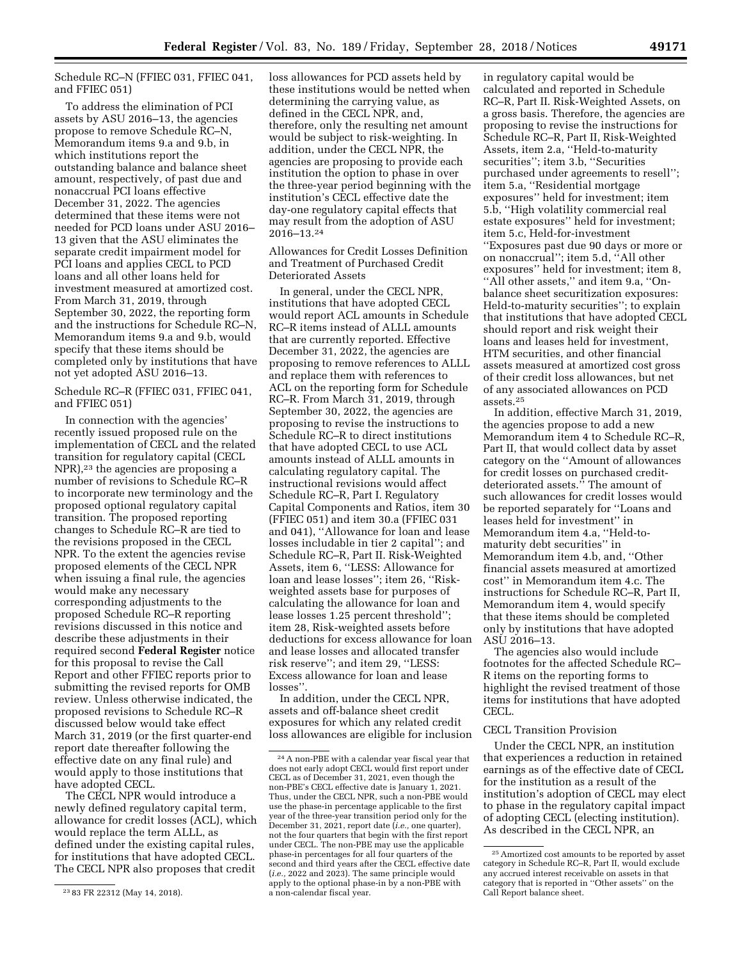Schedule RC–N (FFIEC 031, FFIEC 041, and FFIEC 051)

To address the elimination of PCI assets by ASU 2016–13, the agencies propose to remove Schedule RC–N, Memorandum items 9.a and 9.b, in which institutions report the outstanding balance and balance sheet amount, respectively, of past due and nonaccrual PCI loans effective December 31, 2022. The agencies determined that these items were not needed for PCD loans under ASU 2016– 13 given that the ASU eliminates the separate credit impairment model for PCI loans and applies CECL to PCD loans and all other loans held for investment measured at amortized cost. From March 31, 2019, through September 30, 2022, the reporting form and the instructions for Schedule RC–N, Memorandum items 9.a and 9.b, would specify that these items should be completed only by institutions that have not yet adopted ASU 2016–13.

Schedule RC–R (FFIEC 031, FFIEC 041, and FFIEC 051)

In connection with the agencies' recently issued proposed rule on the implementation of CECL and the related transition for regulatory capital (CECL NPR),23 the agencies are proposing a number of revisions to Schedule RC–R to incorporate new terminology and the proposed optional regulatory capital transition. The proposed reporting changes to Schedule RC–R are tied to the revisions proposed in the CECL NPR. To the extent the agencies revise proposed elements of the CECL NPR when issuing a final rule, the agencies would make any necessary corresponding adjustments to the proposed Schedule RC–R reporting revisions discussed in this notice and describe these adjustments in their required second **Federal Register** notice for this proposal to revise the Call Report and other FFIEC reports prior to submitting the revised reports for OMB review. Unless otherwise indicated, the proposed revisions to Schedule RC–R discussed below would take effect March 31, 2019 (or the first quarter-end report date thereafter following the effective date on any final rule) and would apply to those institutions that have adopted CECL.

The CECL NPR would introduce a newly defined regulatory capital term, allowance for credit losses (ACL), which would replace the term ALLL, as defined under the existing capital rules, for institutions that have adopted CECL. The CECL NPR also proposes that credit

loss allowances for PCD assets held by these institutions would be netted when determining the carrying value, as defined in the CECL NPR, and, therefore, only the resulting net amount would be subject to risk-weighting. In addition, under the CECL NPR, the agencies are proposing to provide each institution the option to phase in over the three-year period beginning with the institution's CECL effective date the day-one regulatory capital effects that may result from the adoption of ASU 2016–13.24

Allowances for Credit Losses Definition and Treatment of Purchased Credit Deteriorated Assets

In general, under the CECL NPR, institutions that have adopted CECL would report ACL amounts in Schedule RC–R items instead of ALLL amounts that are currently reported. Effective December 31, 2022, the agencies are proposing to remove references to ALLL and replace them with references to ACL on the reporting form for Schedule RC–R. From March 31, 2019, through September 30, 2022, the agencies are proposing to revise the instructions to Schedule RC–R to direct institutions that have adopted CECL to use ACL amounts instead of ALLL amounts in calculating regulatory capital. The instructional revisions would affect Schedule RC–R, Part I. Regulatory Capital Components and Ratios, item 30 (FFIEC 051) and item 30.a (FFIEC 031 and 041), ''Allowance for loan and lease losses includable in tier 2 capital''; and Schedule RC–R, Part II. Risk-Weighted Assets, item 6, ''LESS: Allowance for loan and lease losses''; item 26, ''Riskweighted assets base for purposes of calculating the allowance for loan and lease losses 1.25 percent threshold''; item 28, Risk-weighted assets before deductions for excess allowance for loan and lease losses and allocated transfer risk reserve''; and item 29, ''LESS: Excess allowance for loan and lease losses''.

In addition, under the CECL NPR, assets and off-balance sheet credit exposures for which any related credit loss allowances are eligible for inclusion in regulatory capital would be calculated and reported in Schedule RC–R, Part II. Risk-Weighted Assets, on a gross basis. Therefore, the agencies are proposing to revise the instructions for Schedule RC–R, Part II, Risk-Weighted Assets, item 2.a, ''Held-to-maturity securities''; item 3.b, ''Securities purchased under agreements to resell''; item 5.a, ''Residential mortgage exposures'' held for investment; item 5.b, ''High volatility commercial real estate exposures'' held for investment; item 5.c, Held-for-investment ''Exposures past due 90 days or more or on nonaccrual''; item 5.d, ''All other exposures'' held for investment; item 8, ''All other assets,'' and item 9.a, ''Onbalance sheet securitization exposures: Held-to-maturity securities''; to explain that institutions that have adopted CECL should report and risk weight their loans and leases held for investment, HTM securities, and other financial assets measured at amortized cost gross of their credit loss allowances, but net of any associated allowances on PCD assets.25

In addition, effective March 31, 2019, the agencies propose to add a new Memorandum item 4 to Schedule RC–R, Part II, that would collect data by asset category on the ''Amount of allowances for credit losses on purchased creditdeteriorated assets.'' The amount of such allowances for credit losses would be reported separately for ''Loans and leases held for investment'' in Memorandum item 4.a, ''Held-tomaturity debt securities'' in Memorandum item 4.b, and, ''Other financial assets measured at amortized cost'' in Memorandum item 4.c. The instructions for Schedule RC–R, Part II, Memorandum item 4, would specify that these items should be completed only by institutions that have adopted ASU 2016–13.

The agencies also would include footnotes for the affected Schedule RC– R items on the reporting forms to highlight the revised treatment of those items for institutions that have adopted CECL.

### CECL Transition Provision

Under the CECL NPR, an institution that experiences a reduction in retained earnings as of the effective date of CECL for the institution as a result of the institution's adoption of CECL may elect to phase in the regulatory capital impact of adopting CECL (electing institution). As described in the CECL NPR, an

<sup>23</sup> 83 FR 22312 (May 14, 2018).

<sup>24</sup>A non-PBE with a calendar year fiscal year that does not early adopt CECL would first report under CECL as of December 31, 2021, even though the non-PBE's CECL effective date is January 1, 2021. Thus, under the CECL NPR, such a non-PBE would use the phase-in percentage applicable to the first year of the three-year transition period only for the December 31, 2021, report date (*i.e.,* one quarter), not the four quarters that begin with the first report under CECL. The non-PBE may use the applicable phase-in percentages for all four quarters of the second and third years after the CECL effective date (*i.e.,* 2022 and 2023). The same principle would apply to the optional phase-in by a non-PBE with a non-calendar fiscal year.

<sup>25</sup>Amortized cost amounts to be reported by asset category in Schedule RC–R, Part II, would exclude any accrued interest receivable on assets in that category that is reported in ''Other assets'' on the Call Report balance sheet.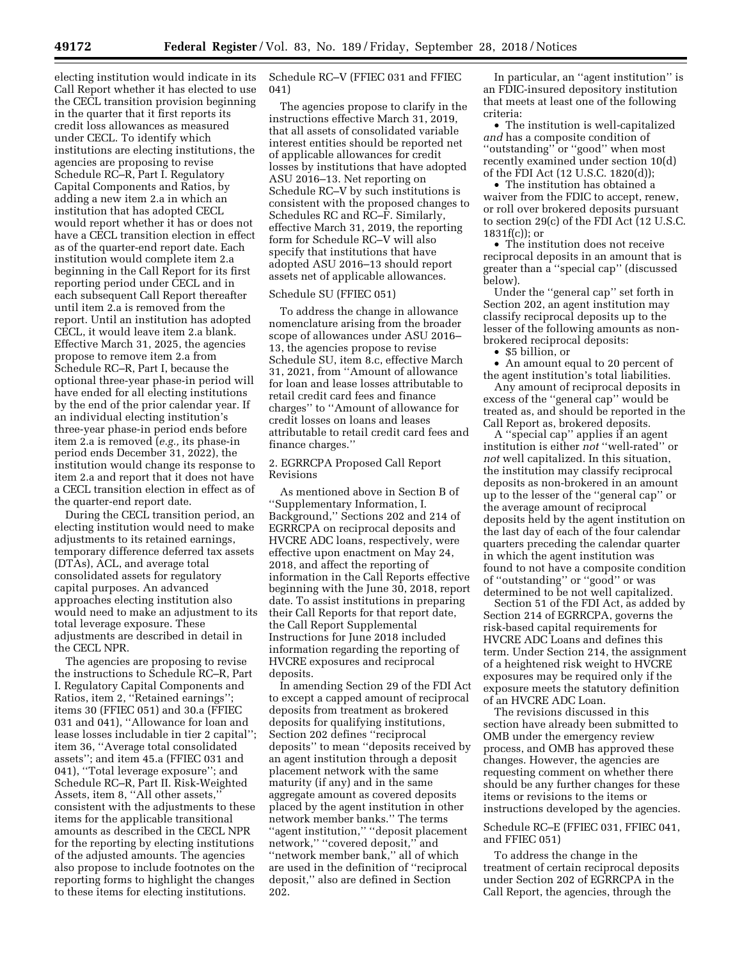electing institution would indicate in its Call Report whether it has elected to use the CECL transition provision beginning in the quarter that it first reports its credit loss allowances as measured under CECL. To identify which institutions are electing institutions, the agencies are proposing to revise Schedule RC–R, Part I. Regulatory Capital Components and Ratios, by adding a new item 2.a in which an institution that has adopted CECL would report whether it has or does not have a CECL transition election in effect as of the quarter-end report date. Each institution would complete item 2.a beginning in the Call Report for its first reporting period under CECL and in each subsequent Call Report thereafter until item 2.a is removed from the report. Until an institution has adopted CECL, it would leave item 2.a blank. Effective March 31, 2025, the agencies propose to remove item 2.a from Schedule RC–R, Part I, because the optional three-year phase-in period will have ended for all electing institutions by the end of the prior calendar year. If an individual electing institution's three-year phase-in period ends before item 2.a is removed (*e.g.,* its phase-in period ends December 31, 2022), the institution would change its response to item 2.a and report that it does not have a CECL transition election in effect as of the quarter-end report date.

During the CECL transition period, an electing institution would need to make adjustments to its retained earnings, temporary difference deferred tax assets (DTAs), ACL, and average total consolidated assets for regulatory capital purposes. An advanced approaches electing institution also would need to make an adjustment to its total leverage exposure. These adjustments are described in detail in the CECL NPR.

The agencies are proposing to revise the instructions to Schedule RC–R, Part I. Regulatory Capital Components and Ratios, item 2, ''Retained earnings''; items 30 (FFIEC 051) and 30.a (FFIEC 031 and 041), ''Allowance for loan and lease losses includable in tier 2 capital''; item 36, ''Average total consolidated assets''; and item 45.a (FFIEC 031 and 041), ''Total leverage exposure''; and Schedule RC–R, Part II. Risk-Weighted Assets, item 8, ''All other assets,'' consistent with the adjustments to these items for the applicable transitional amounts as described in the CECL NPR for the reporting by electing institutions of the adjusted amounts. The agencies also propose to include footnotes on the reporting forms to highlight the changes to these items for electing institutions.

Schedule RC–V (FFIEC 031 and FFIEC 041)

The agencies propose to clarify in the instructions effective March 31, 2019, that all assets of consolidated variable interest entities should be reported net of applicable allowances for credit losses by institutions that have adopted ASU 2016–13. Net reporting on Schedule RC–V by such institutions is consistent with the proposed changes to Schedules RC and RC–F. Similarly, effective March 31, 2019, the reporting form for Schedule RC–V will also specify that institutions that have adopted ASU 2016–13 should report assets net of applicable allowances.

## Schedule SU (FFIEC 051)

To address the change in allowance nomenclature arising from the broader scope of allowances under ASU 2016– 13, the agencies propose to revise Schedule SU, item 8.c, effective March 31, 2021, from ''Amount of allowance for loan and lease losses attributable to retail credit card fees and finance charges'' to ''Amount of allowance for credit losses on loans and leases attributable to retail credit card fees and finance charges.''

2. EGRRCPA Proposed Call Report Revisions

As mentioned above in Section B of ''Supplementary Information, I. Background,'' Sections 202 and 214 of EGRRCPA on reciprocal deposits and HVCRE ADC loans, respectively, were effective upon enactment on May 24, 2018, and affect the reporting of information in the Call Reports effective beginning with the June 30, 2018, report date. To assist institutions in preparing their Call Reports for that report date, the Call Report Supplemental Instructions for June 2018 included information regarding the reporting of HVCRE exposures and reciprocal deposits.

In amending Section 29 of the FDI Act to except a capped amount of reciprocal deposits from treatment as brokered deposits for qualifying institutions, Section 202 defines ''reciprocal deposits'' to mean ''deposits received by an agent institution through a deposit placement network with the same maturity (if any) and in the same aggregate amount as covered deposits placed by the agent institution in other network member banks.'' The terms ''agent institution,'' ''deposit placement network,'' ''covered deposit,'' and ''network member bank,'' all of which are used in the definition of ''reciprocal deposit,'' also are defined in Section 202.

In particular, an ''agent institution'' is an FDIC-insured depository institution that meets at least one of the following criteria:

• The institution is well-capitalized *and* has a composite condition of ''outstanding'' or ''good'' when most recently examined under section 10(d) of the FDI Act (12 U.S.C. 1820(d));

• The institution has obtained a waiver from the FDIC to accept, renew, or roll over brokered deposits pursuant to section 29(c) of the FDI Act (12 U.S.C.  $1831f(c)$ ; or

• The institution does not receive reciprocal deposits in an amount that is greater than a ''special cap'' (discussed below).

Under the ''general cap'' set forth in Section 202, an agent institution may classify reciprocal deposits up to the lesser of the following amounts as nonbrokered reciprocal deposits:

• \$5 billion, or

• An amount equal to 20 percent of the agent institution's total liabilities.

Any amount of reciprocal deposits in excess of the ''general cap'' would be treated as, and should be reported in the Call Report as, brokered deposits.

A ''special cap'' applies if an agent institution is either *not* ''well-rated'' or *not* well capitalized. In this situation, the institution may classify reciprocal deposits as non-brokered in an amount up to the lesser of the ''general cap'' or the average amount of reciprocal deposits held by the agent institution on the last day of each of the four calendar quarters preceding the calendar quarter in which the agent institution was found to not have a composite condition of ''outstanding'' or ''good'' or was determined to be not well capitalized.

Section 51 of the FDI Act, as added by Section 214 of EGRRCPA, governs the risk-based capital requirements for HVCRE ADC Loans and defines this term. Under Section 214, the assignment of a heightened risk weight to HVCRE exposures may be required only if the exposure meets the statutory definition of an HVCRE ADC Loan.

The revisions discussed in this section have already been submitted to OMB under the emergency review process, and OMB has approved these changes. However, the agencies are requesting comment on whether there should be any further changes for these items or revisions to the items or instructions developed by the agencies.

## Schedule RC–E (FFIEC 031, FFIEC 041, and FFIEC 051)

To address the change in the treatment of certain reciprocal deposits under Section 202 of EGRRCPA in the Call Report, the agencies, through the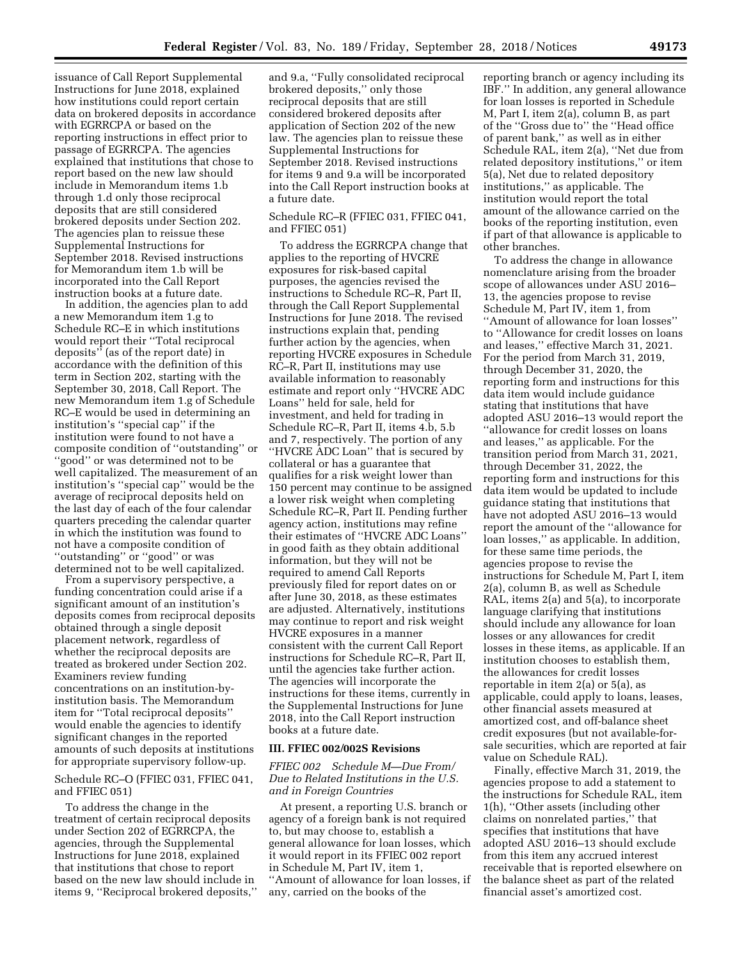issuance of Call Report Supplemental Instructions for June 2018, explained how institutions could report certain data on brokered deposits in accordance with EGRRCPA or based on the reporting instructions in effect prior to passage of EGRRCPA. The agencies explained that institutions that chose to report based on the new law should include in Memorandum items 1.b through 1.d only those reciprocal deposits that are still considered brokered deposits under Section 202. The agencies plan to reissue these Supplemental Instructions for September 2018. Revised instructions for Memorandum item 1.b will be incorporated into the Call Report instruction books at a future date.

In addition, the agencies plan to add a new Memorandum item 1.g to Schedule RC–E in which institutions would report their ''Total reciprocal deposits'' (as of the report date) in accordance with the definition of this term in Section 202, starting with the September 30, 2018, Call Report. The new Memorandum item 1.g of Schedule RC–E would be used in determining an institution's ''special cap'' if the institution were found to not have a composite condition of ''outstanding'' or ''good'' or was determined not to be well capitalized. The measurement of an institution's ''special cap'' would be the average of reciprocal deposits held on the last day of each of the four calendar quarters preceding the calendar quarter in which the institution was found to not have a composite condition of ''outstanding'' or ''good'' or was determined not to be well capitalized.

From a supervisory perspective, a funding concentration could arise if a significant amount of an institution's deposits comes from reciprocal deposits obtained through a single deposit placement network, regardless of whether the reciprocal deposits are treated as brokered under Section 202. Examiners review funding concentrations on an institution-byinstitution basis. The Memorandum item for ''Total reciprocal deposits'' would enable the agencies to identify significant changes in the reported amounts of such deposits at institutions for appropriate supervisory follow-up.

## Schedule RC–O (FFIEC 031, FFIEC 041, and FFIEC 051)

To address the change in the treatment of certain reciprocal deposits under Section 202 of EGRRCPA, the agencies, through the Supplemental Instructions for June 2018, explained that institutions that chose to report based on the new law should include in items 9, ''Reciprocal brokered deposits,''

and 9.a, ''Fully consolidated reciprocal brokered deposits,'' only those reciprocal deposits that are still considered brokered deposits after application of Section 202 of the new law. The agencies plan to reissue these Supplemental Instructions for September 2018. Revised instructions for items 9 and 9.a will be incorporated into the Call Report instruction books at a future date.

### Schedule RC–R (FFIEC 031, FFIEC 041, and FFIEC 051)

To address the EGRRCPA change that applies to the reporting of HVCRE exposures for risk-based capital purposes, the agencies revised the instructions to Schedule RC–R, Part II, through the Call Report Supplemental Instructions for June 2018. The revised instructions explain that, pending further action by the agencies, when reporting HVCRE exposures in Schedule RC–R, Part II, institutions may use available information to reasonably estimate and report only ''HVCRE ADC Loans'' held for sale, held for investment, and held for trading in Schedule RC–R, Part II, items 4.b, 5.b and 7, respectively. The portion of any ''HVCRE ADC Loan'' that is secured by collateral or has a guarantee that qualifies for a risk weight lower than 150 percent may continue to be assigned a lower risk weight when completing Schedule RC–R, Part II. Pending further agency action, institutions may refine their estimates of ''HVCRE ADC Loans'' in good faith as they obtain additional information, but they will not be required to amend Call Reports previously filed for report dates on or after June 30, 2018, as these estimates are adjusted. Alternatively, institutions may continue to report and risk weight HVCRE exposures in a manner consistent with the current Call Report instructions for Schedule RC–R, Part II, until the agencies take further action. The agencies will incorporate the instructions for these items, currently in the Supplemental Instructions for June 2018, into the Call Report instruction books at a future date.

## **III. FFIEC 002/002S Revisions**

## *FFIEC 002 Schedule M—Due From/ Due to Related Institutions in the U.S. and in Foreign Countries*

At present, a reporting U.S. branch or agency of a foreign bank is not required to, but may choose to, establish a general allowance for loan losses, which it would report in its FFIEC 002 report in Schedule M, Part IV, item 1, ''Amount of allowance for loan losses, if any, carried on the books of the

reporting branch or agency including its IBF.'' In addition, any general allowance for loan losses is reported in Schedule M, Part I, item 2(a), column B, as part of the ''Gross due to'' the ''Head office of parent bank,'' as well as in either Schedule RAL, item 2(a), ''Net due from related depository institutions,'' or item 5(a), Net due to related depository institutions,'' as applicable. The institution would report the total amount of the allowance carried on the books of the reporting institution, even if part of that allowance is applicable to other branches.

To address the change in allowance nomenclature arising from the broader scope of allowances under ASU 2016– 13, the agencies propose to revise Schedule M, Part IV, item 1, from ''Amount of allowance for loan losses'' to ''Allowance for credit losses on loans and leases,'' effective March 31, 2021. For the period from March 31, 2019, through December 31, 2020, the reporting form and instructions for this data item would include guidance stating that institutions that have adopted ASU 2016–13 would report the ''allowance for credit losses on loans and leases,'' as applicable. For the transition period from March 31, 2021, through December 31, 2022, the reporting form and instructions for this data item would be updated to include guidance stating that institutions that have not adopted ASU 2016–13 would report the amount of the ''allowance for loan losses,'' as applicable. In addition, for these same time periods, the agencies propose to revise the instructions for Schedule M, Part I, item 2(a), column B, as well as Schedule RAL, items 2(a) and 5(a), to incorporate language clarifying that institutions should include any allowance for loan losses or any allowances for credit losses in these items, as applicable. If an institution chooses to establish them, the allowances for credit losses reportable in item 2(a) or 5(a), as applicable, could apply to loans, leases, other financial assets measured at amortized cost, and off-balance sheet credit exposures (but not available-forsale securities, which are reported at fair value on Schedule RAL).

Finally, effective March 31, 2019, the agencies propose to add a statement to the instructions for Schedule RAL, item 1(h), ''Other assets (including other claims on nonrelated parties,'' that specifies that institutions that have adopted ASU 2016–13 should exclude from this item any accrued interest receivable that is reported elsewhere on the balance sheet as part of the related financial asset's amortized cost.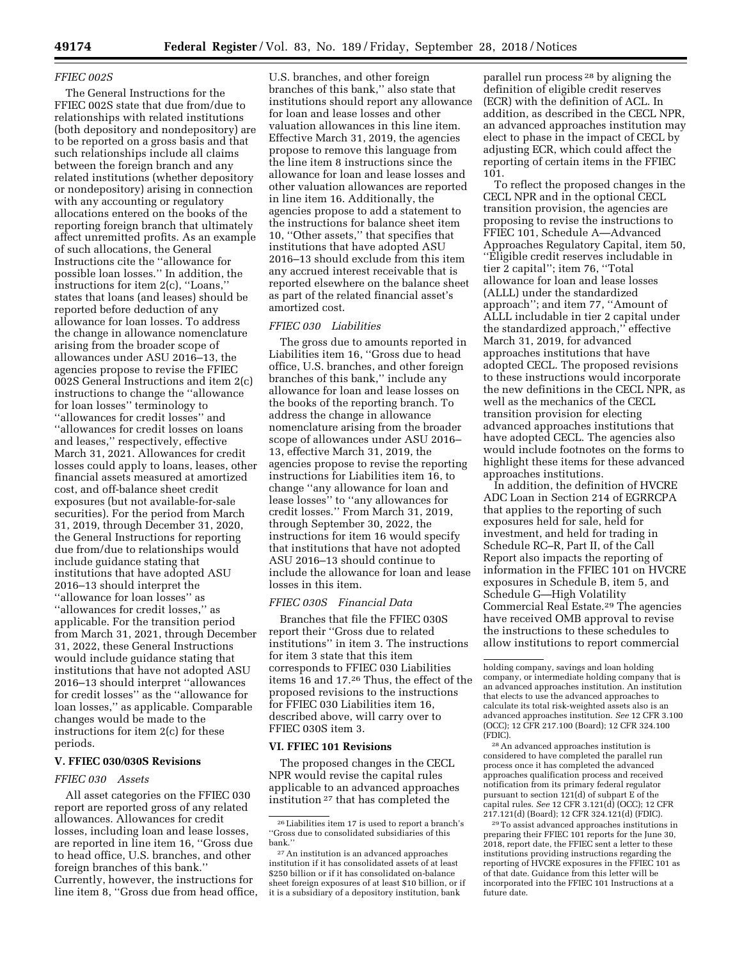## *FFIEC 002S*

The General Instructions for the FFIEC 002S state that due from/due to relationships with related institutions (both depository and nondepository) are to be reported on a gross basis and that such relationships include all claims between the foreign branch and any related institutions (whether depository or nondepository) arising in connection with any accounting or regulatory allocations entered on the books of the reporting foreign branch that ultimately affect unremitted profits. As an example of such allocations, the General Instructions cite the ''allowance for possible loan losses.'' In addition, the instructions for item 2(c), ''Loans,'' states that loans (and leases) should be reported before deduction of any allowance for loan losses. To address the change in allowance nomenclature arising from the broader scope of allowances under ASU 2016–13, the agencies propose to revise the FFIEC 002S General Instructions and item 2(c) instructions to change the ''allowance for loan losses'' terminology to ''allowances for credit losses'' and ''allowances for credit losses on loans and leases,'' respectively, effective March 31, 2021. Allowances for credit losses could apply to loans, leases, other financial assets measured at amortized cost, and off-balance sheet credit exposures (but not available-for-sale securities). For the period from March 31, 2019, through December 31, 2020, the General Instructions for reporting due from/due to relationships would include guidance stating that institutions that have adopted ASU 2016–13 should interpret the ''allowance for loan losses'' as ''allowances for credit losses,'' as applicable. For the transition period from March 31, 2021, through December 31, 2022, these General Instructions would include guidance stating that institutions that have not adopted ASU 2016–13 should interpret ''allowances for credit losses'' as the ''allowance for loan losses,'' as applicable. Comparable changes would be made to the instructions for item 2(c) for these periods.

### **V. FFIEC 030/030S Revisions**

## *FFIEC 030 Assets*

All asset categories on the FFIEC 030 report are reported gross of any related allowances. Allowances for credit losses, including loan and lease losses, are reported in line item 16, ''Gross due to head office, U.S. branches, and other foreign branches of this bank.'' Currently, however, the instructions for line item 8, ''Gross due from head office,

U.S. branches, and other foreign branches of this bank,'' also state that institutions should report any allowance for loan and lease losses and other valuation allowances in this line item. Effective March 31, 2019, the agencies propose to remove this language from the line item 8 instructions since the allowance for loan and lease losses and other valuation allowances are reported in line item 16. Additionally, the agencies propose to add a statement to the instructions for balance sheet item 10, ''Other assets,'' that specifies that institutions that have adopted ASU 2016–13 should exclude from this item any accrued interest receivable that is reported elsewhere on the balance sheet as part of the related financial asset's amortized cost.

## *FFIEC 030 Liabilities*

The gross due to amounts reported in Liabilities item 16, ''Gross due to head office, U.S. branches, and other foreign branches of this bank,'' include any allowance for loan and lease losses on the books of the reporting branch. To address the change in allowance nomenclature arising from the broader scope of allowances under ASU 2016– 13, effective March 31, 2019, the agencies propose to revise the reporting instructions for Liabilities item 16, to change ''any allowance for loan and lease losses'' to ''any allowances for credit losses.'' From March 31, 2019, through September 30, 2022, the instructions for item 16 would specify that institutions that have not adopted ASU 2016–13 should continue to include the allowance for loan and lease losses in this item.

## *FFIEC 030S Financial Data*

Branches that file the FFIEC 030S report their ''Gross due to related institutions'' in item 3. The instructions for item 3 state that this item corresponds to FFIEC 030 Liabilities items 16 and 17.26 Thus, the effect of the proposed revisions to the instructions for FFIEC 030 Liabilities item 16, described above, will carry over to FFIEC 030S item 3.

#### **VI. FFIEC 101 Revisions**

The proposed changes in the CECL NPR would revise the capital rules applicable to an advanced approaches institution 27 that has completed the

parallel run process 28 by aligning the definition of eligible credit reserves (ECR) with the definition of ACL. In addition, as described in the CECL NPR, an advanced approaches institution may elect to phase in the impact of CECL by adjusting ECR, which could affect the reporting of certain items in the FFIEC 101.

To reflect the proposed changes in the CECL NPR and in the optional CECL transition provision, the agencies are proposing to revise the instructions to FFIEC 101, Schedule A—Advanced Approaches Regulatory Capital, item 50, ''Eligible credit reserves includable in tier 2 capital''; item 76, ''Total allowance for loan and lease losses (ALLL) under the standardized approach''; and item 77, ''Amount of ALLL includable in tier 2 capital under the standardized approach,'' effective March 31, 2019, for advanced approaches institutions that have adopted CECL. The proposed revisions to these instructions would incorporate the new definitions in the CECL NPR, as well as the mechanics of the CECL transition provision for electing advanced approaches institutions that have adopted CECL. The agencies also would include footnotes on the forms to highlight these items for these advanced approaches institutions.

In addition, the definition of HVCRE ADC Loan in Section 214 of EGRRCPA that applies to the reporting of such exposures held for sale, held for investment, and held for trading in Schedule RC–R, Part II, of the Call Report also impacts the reporting of information in the FFIEC 101 on HVCRE exposures in Schedule B, item 5, and Schedule G—High Volatility Commercial Real Estate.29 The agencies have received OMB approval to revise the instructions to these schedules to allow institutions to report commercial

28An advanced approaches institution is considered to have completed the parallel run process once it has completed the advanced approaches qualification process and received notification from its primary federal regulator pursuant to section 121(d) of subpart E of the capital rules. *See* 12 CFR 3.121(d) (OCC); 12 CFR 217.121(d) (Board); 12 CFR 324.121(d) (FDIC).

29To assist advanced approaches institutions in preparing their FFIEC 101 reports for the June 30, 2018, report date, the FFIEC sent a letter to these institutions providing instructions regarding the reporting of HVCRE exposures in the FFIEC 101 as of that date. Guidance from this letter will be incorporated into the FFIEC 101 Instructions at a future date.

<sup>26</sup>Liabilities item 17 is used to report a branch's ''Gross due to consolidated subsidiaries of this bank.''

<sup>27</sup>An institution is an advanced approaches institution if it has consolidated assets of at least \$250 billion or if it has consolidated on-balance sheet foreign exposures of at least \$10 billion, or if it is a subsidiary of a depository institution, bank

holding company, savings and loan holding company, or intermediate holding company that is an advanced approaches institution. An institution that elects to use the advanced approaches to calculate its total risk-weighted assets also is an advanced approaches institution. *See* 12 CFR 3.100 (OCC); 12 CFR 217.100 (Board); 12 CFR 324.100 (FDIC).